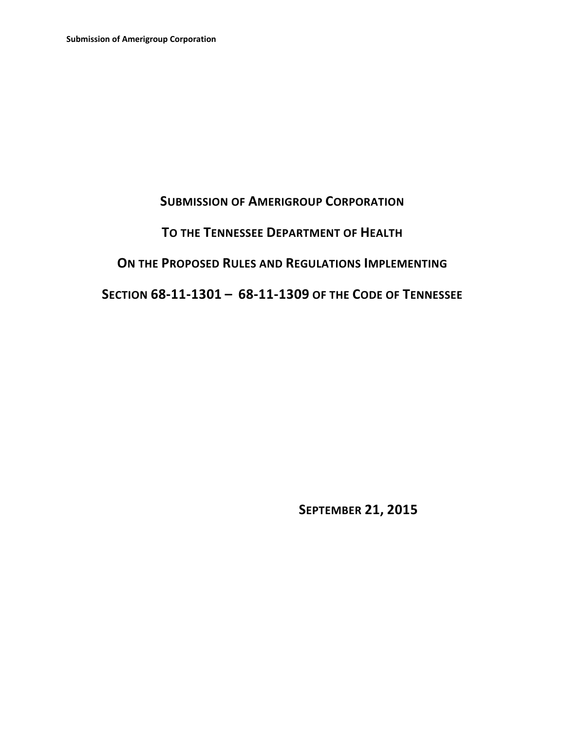# **SUBMISSION OF AMERIGROUP CORPORATION**

# **TO THE TENNESSEE DEPARTMENT OF HEALTH**

## **ON THE PROPOSED RULES AND REGULATIONS IMPLEMENTING**

# **SECTION 68‐11‐1301 – 68‐11‐1309 OF THE CODE OF TENNESSEE**

 **SEPTEMBER 21, 2015**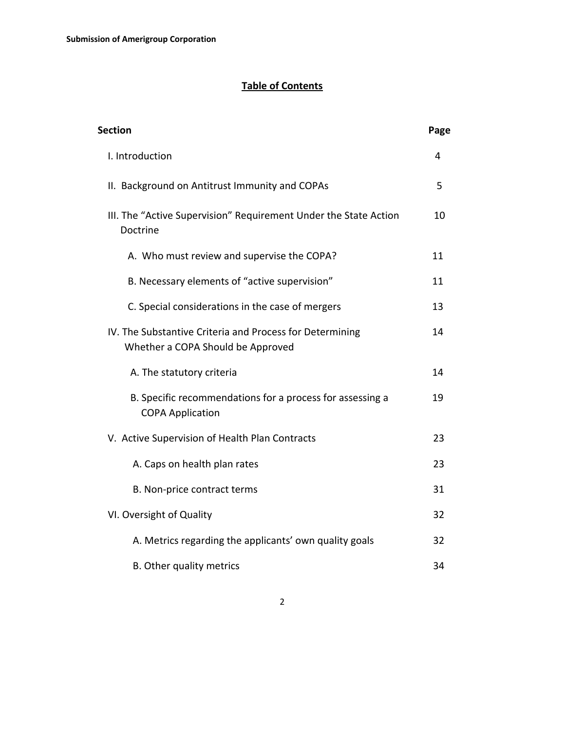## **Table of Contents**

| <b>Section</b>                                                                                | Page |
|-----------------------------------------------------------------------------------------------|------|
| I. Introduction                                                                               | 4    |
| II. Background on Antitrust Immunity and COPAs                                                | 5    |
| III. The "Active Supervision" Requirement Under the State Action<br>Doctrine                  | 10   |
| A. Who must review and supervise the COPA?                                                    | 11   |
| B. Necessary elements of "active supervision"                                                 | 11   |
| C. Special considerations in the case of mergers                                              | 13   |
| IV. The Substantive Criteria and Process for Determining<br>Whether a COPA Should be Approved | 14   |
| A. The statutory criteria                                                                     | 14   |
| B. Specific recommendations for a process for assessing a<br><b>COPA Application</b>          | 19   |
| V. Active Supervision of Health Plan Contracts                                                | 23   |
| A. Caps on health plan rates                                                                  | 23   |
| B. Non-price contract terms                                                                   | 31   |
| VI. Oversight of Quality                                                                      | 32   |
| A. Metrics regarding the applicants' own quality goals                                        | 32   |
| B. Other quality metrics                                                                      | 34   |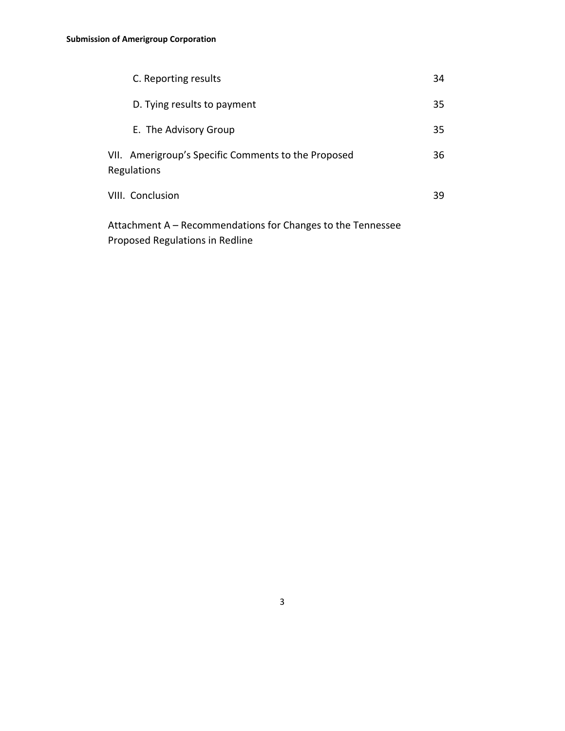| C. Reporting results                                                      | 34 |
|---------------------------------------------------------------------------|----|
| D. Tying results to payment                                               | 35 |
| E. The Advisory Group                                                     | 35 |
| VII. Amerigroup's Specific Comments to the Proposed<br><b>Regulations</b> | 36 |
| VIII. Conclusion                                                          | 39 |
| Attechnicat A Decembrication for Chancerta the Tenne                      |    |

Attachment A – Recommendations for Changes to the Tennessee Proposed Regulations in Redline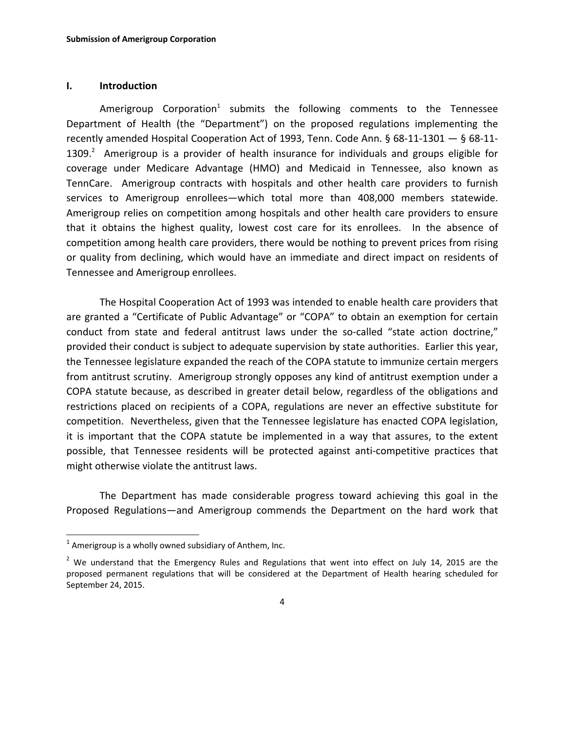#### **I. Introduction**

Amerigroup Corporation<sup>1</sup> submits the following comments to the Tennessee Department of Health (the "Department") on the proposed regulations implementing the recently amended Hospital Cooperation Act of 1993, Tenn. Code Ann. § 68‐11‐1301 — § 68‐11‐ 1309. $^2$  Amerigroup is a provider of health insurance for individuals and groups eligible for coverage under Medicare Advantage (HMO) and Medicaid in Tennessee, also known as TennCare. Amerigroup contracts with hospitals and other health care providers to furnish services to Amerigroup enrollees—which total more than 408,000 members statewide. Amerigroup relies on competition among hospitals and other health care providers to ensure that it obtains the highest quality, lowest cost care for its enrollees. In the absence of competition among health care providers, there would be nothing to prevent prices from rising or quality from declining, which would have an immediate and direct impact on residents of Tennessee and Amerigroup enrollees.

The Hospital Cooperation Act of 1993 was intended to enable health care providers that are granted a "Certificate of Public Advantage" or "COPA" to obtain an exemption for certain conduct from state and federal antitrust laws under the so-called "state action doctrine," provided their conduct is subject to adequate supervision by state authorities. Earlier this year, the Tennessee legislature expanded the reach of the COPA statute to immunize certain mergers from antitrust scrutiny. Amerigroup strongly opposes any kind of antitrust exemption under a COPA statute because, as described in greater detail below, regardless of the obligations and restrictions placed on recipients of a COPA, regulations are never an effective substitute for competition. Nevertheless, given that the Tennessee legislature has enacted COPA legislation, it is important that the COPA statute be implemented in a way that assures, to the extent possible, that Tennessee residents will be protected against anti-competitive practices that might otherwise violate the antitrust laws.

The Department has made considerable progress toward achieving this goal in the Proposed Regulations—and Amerigroup commends the Department on the hard work that

 $\overline{a}$ 

 $1$  Amerigroup is a wholly owned subsidiary of Anthem, Inc.

<sup>&</sup>lt;sup>2</sup> We understand that the Emergency Rules and Regulations that went into effect on July 14, 2015 are the proposed permanent regulations that will be considered at the Department of Health hearing scheduled for September 24, 2015.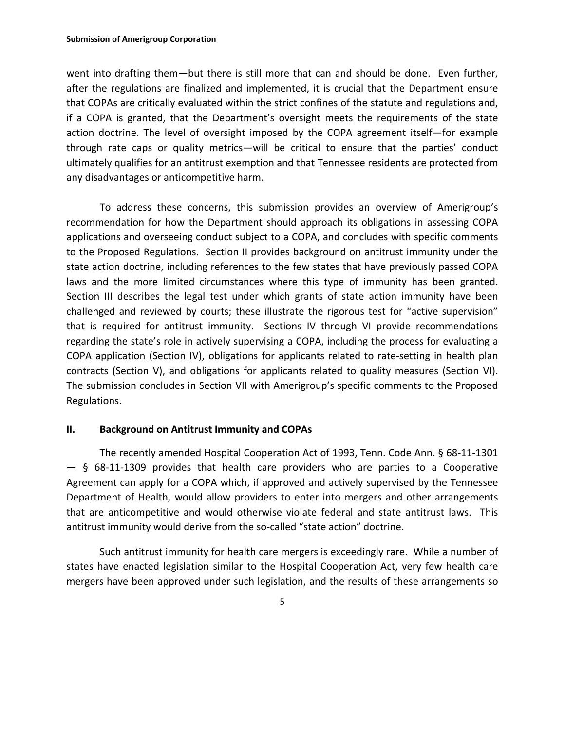went into drafting them—but there is still more that can and should be done. Even further, after the regulations are finalized and implemented, it is crucial that the Department ensure that COPAs are critically evaluated within the strict confines of the statute and regulations and, if a COPA is granted, that the Department's oversight meets the requirements of the state action doctrine. The level of oversight imposed by the COPA agreement itself—for example through rate caps or quality metrics—will be critical to ensure that the parties' conduct ultimately qualifies for an antitrust exemption and that Tennessee residents are protected from any disadvantages or anticompetitive harm.

To address these concerns, this submission provides an overview of Amerigroup's recommendation for how the Department should approach its obligations in assessing COPA applications and overseeing conduct subject to a COPA, and concludes with specific comments to the Proposed Regulations. Section II provides background on antitrust immunity under the state action doctrine, including references to the few states that have previously passed COPA laws and the more limited circumstances where this type of immunity has been granted. Section III describes the legal test under which grants of state action immunity have been challenged and reviewed by courts; these illustrate the rigorous test for "active supervision" that is required for antitrust immunity. Sections IV through VI provide recommendations regarding the state's role in actively supervising a COPA, including the process for evaluating a COPA application (Section IV), obligations for applicants related to rate‐setting in health plan contracts (Section V), and obligations for applicants related to quality measures (Section VI). The submission concludes in Section VII with Amerigroup's specific comments to the Proposed Regulations.

#### **II. Background on Antitrust Immunity and COPAs**

The recently amended Hospital Cooperation Act of 1993, Tenn. Code Ann. § 68‐11‐1301  $-$  § 68-11-1309 provides that health care providers who are parties to a Cooperative Agreement can apply for a COPA which, if approved and actively supervised by the Tennessee Department of Health, would allow providers to enter into mergers and other arrangements that are anticompetitive and would otherwise violate federal and state antitrust laws. This antitrust immunity would derive from the so-called "state action" doctrine.

Such antitrust immunity for health care mergers is exceedingly rare. While a number of states have enacted legislation similar to the Hospital Cooperation Act, very few health care mergers have been approved under such legislation, and the results of these arrangements so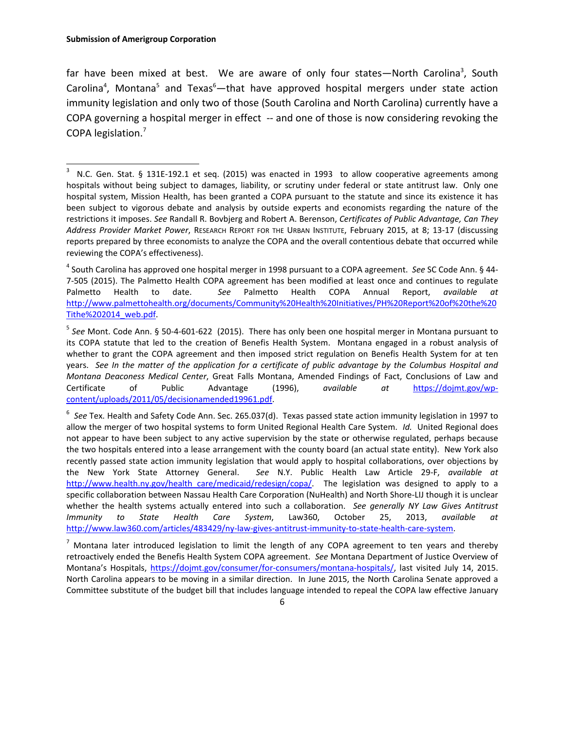far have been mixed at best. We are aware of only four states—North Carolina<sup>3</sup>, South Carolina<sup>4</sup>, Montana<sup>5</sup> and Texas<sup>6</sup>—that have approved hospital mergers under state action immunity legislation and only two of those (South Carolina and North Carolina) currently have a COPA governing a hospital merger in effect ‐‐ and one of those is now considering revoking the COPA legislation.<sup>7</sup>

<sup>3</sup> N.C. Gen. Stat. § 131E-192.1 et seq. (2015) was enacted in 1993 to allow cooperative agreements among hospitals without being subject to damages, liability, or scrutiny under federal or state antitrust law. Only one hospital system, Mission Health, has been granted a COPA pursuant to the statute and since its existence it has been subject to vigorous debate and analysis by outside experts and economists regarding the nature of the restrictions it imposes. *See* Randall R. Bovbjerg and Robert A. Berenson, *Certificates of Public Advantage, Can They Address Provider Market Power*, RESEARCH REPORT FOR THE URBAN INSTITUTE, February 2015, at 8; 13‐17 (discussing reports prepared by three economists to analyze the COPA and the overall contentious debate that occurred while reviewing the COPA's effectiveness).

<sup>4</sup> South Carolina has approved one hospital merger in 1998 pursuant to a COPA agreement. *See* SC Code Ann. § 44‐ 7‐505 (2015). The Palmetto Health COPA agreement has been modified at least once and continues to regulate Palmetto Health to date. *See* Palmetto Health COPA Annual Report, *available at* http://www.palmettohealth.org/documents/Community%20Health%20Initiatives/PH%20Report%20of%20the%20 Tithe%202014\_web.pdf.

<sup>5</sup> *See* Mont. Code Ann. § 50‐4‐601‐622 (2015). There has only been one hospital merger in Montana pursuant to its COPA statute that led to the creation of Benefis Health System. Montana engaged in a robust analysis of whether to grant the COPA agreement and then imposed strict regulation on Benefis Health System for at ten years. See In the matter of the application for a certificate of public advantage by the Columbus Hospital and *Montana Deaconess Medical Center*, Great Falls Montana, Amended Findings of Fact, Conclusions of Law and Certificate of Public Advantage (1996), *available at* https://dojmt.gov/wp‐ content/uploads/2011/05/decisionamended19961.pdf.

<sup>6</sup> *See* Tex. Health and Safety Code Ann. Sec. 265.037(d). Texas passed state action immunity legislation in 1997 to allow the merger of two hospital systems to form United Regional Health Care System. *Id.* United Regional does not appear to have been subject to any active supervision by the state or otherwise regulated, perhaps because the two hospitals entered into a lease arrangement with the county board (an actual state entity). New York also recently passed state action immunity legislation that would apply to hospital collaborations, over objections by the New York State Attorney General. *See* N.Y. Public Health Law Article 29‐F, *available at* http://www.health.ny.gov/health care/medicaid/redesign/copa/. The legislation was designed to apply to a specific collaboration between Nassau Health Care Corporation (NuHealth) and North Shore‐LIJ though it is unclear whether the health systems actually entered into such a collaboration. *See generally NY Law Gives Antitrust Immunity to State Health Care System*, Law360, October 25, 2013, *available at* http://www.law360.com/articles/483429/ny-law-gives-antitrust-immunity-to-state-health-care-system.

 $<sup>7</sup>$  Montana later introduced legislation to limit the length of any COPA agreement to ten years and thereby</sup> retroactively ended the Benefis Health System COPA agreement. *See* Montana Department of Justice Overview of Montana's Hospitals, https://dojmt.gov/consumer/for‐consumers/montana‐hospitals/, last visited July 14, 2015. North Carolina appears to be moving in a similar direction. In June 2015, the North Carolina Senate approved a Committee substitute of the budget bill that includes language intended to repeal the COPA law effective January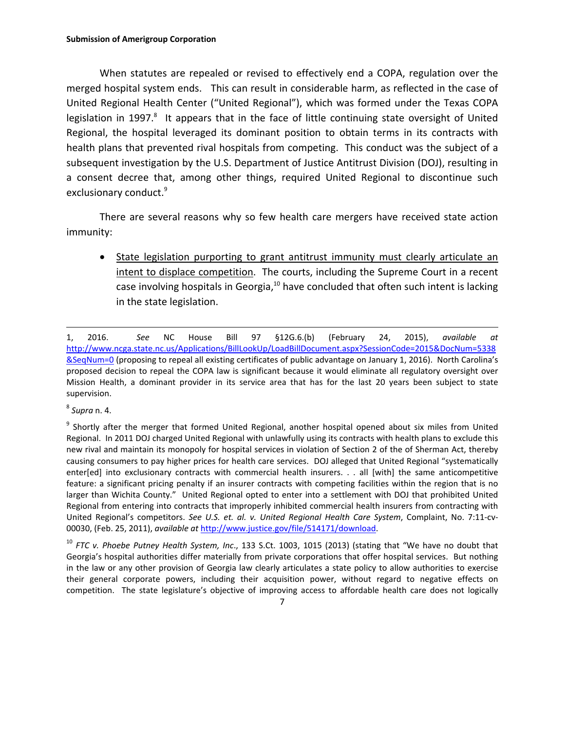When statutes are repealed or revised to effectively end a COPA, regulation over the merged hospital system ends. This can result in considerable harm, as reflected in the case of United Regional Health Center ("United Regional"), which was formed under the Texas COPA legislation in 1997.<sup>8</sup> It appears that in the face of little continuing state oversight of United Regional, the hospital leveraged its dominant position to obtain terms in its contracts with health plans that prevented rival hospitals from competing. This conduct was the subject of a subsequent investigation by the U.S. Department of Justice Antitrust Division (DOJ), resulting in a consent decree that, among other things, required United Regional to discontinue such exclusionary conduct.<sup>9</sup>

There are several reasons why so few health care mergers have received state action immunity:

 State legislation purporting to grant antitrust immunity must clearly articulate an intent to displace competition. The courts, including the Supreme Court in a recent case involving hospitals in Georgia, $10$  have concluded that often such intent is lacking in the state legislation.

<sup>8</sup> *Supra* n. 4.

 $\overline{a}$ 

<sup>1,</sup> 2016. *See* NC House Bill 97 §12G.6.(b) (February 24, 2015), *available at* http://www.ncga.state.nc.us/Applications/BillLookUp/LoadBillDocument.aspx?SessionCode=2015&DocNum=5338 &SeqNum=0 (proposing to repeal all existing certificates of public advantage on January 1, 2016). North Carolina's proposed decision to repeal the COPA law is significant because it would eliminate all regulatory oversight over Mission Health, a dominant provider in its service area that has for the last 20 years been subject to state supervision.

<sup>&</sup>lt;sup>9</sup> Shortly after the merger that formed United Regional, another hospital opened about six miles from United Regional. In 2011 DOJ charged United Regional with unlawfully using its contracts with health plans to exclude this new rival and maintain its monopoly for hospital services in violation of Section 2 of the of Sherman Act, thereby causing consumers to pay higher prices for health care services. DOJ alleged that United Regional "systematically enter[ed] into exclusionary contracts with commercial health insurers. . . all [with] the same anticompetitive feature: a significant pricing penalty if an insurer contracts with competing facilities within the region that is no larger than Wichita County." United Regional opted to enter into a settlement with DOJ that prohibited United Regional from entering into contracts that improperly inhibited commercial health insurers from contracting with United Regional's competitors. *See U.S. et. al. v. United Regional Health Care System*, Complaint, No. 7:11‐cv‐ 00030, (Feb. 25, 2011), *available at* http://www.justice.gov/file/514171/download.

<sup>10</sup> *FTC v. Phoebe Putney Health System, Inc*., 133 S.Ct. 1003, 1015 (2013) (stating that "We have no doubt that Georgia's hospital authorities differ materially from private corporations that offer hospital services. But nothing in the law or any other provision of Georgia law clearly articulates a state policy to allow authorities to exercise their general corporate powers, including their acquisition power, without regard to negative effects on competition. The state legislature's objective of improving access to affordable health care does not logically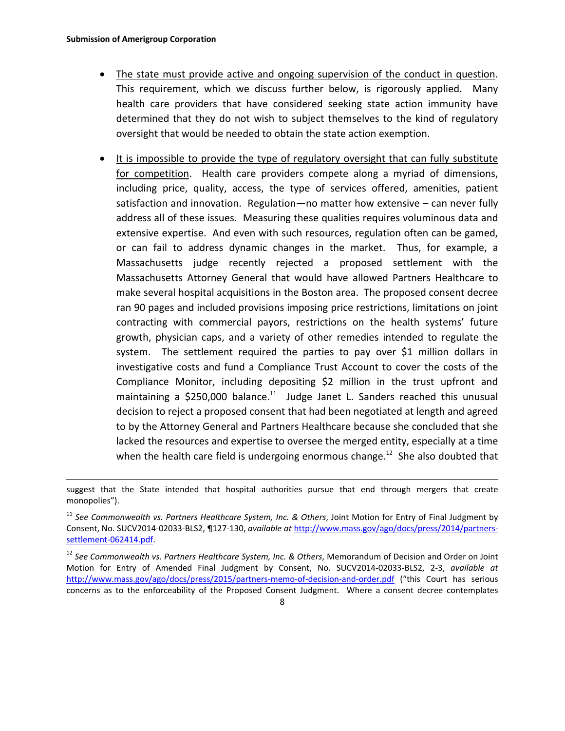- The state must provide active and ongoing supervision of the conduct in question. This requirement, which we discuss further below, is rigorously applied. Many health care providers that have considered seeking state action immunity have determined that they do not wish to subject themselves to the kind of regulatory oversight that would be needed to obtain the state action exemption.
- It is impossible to provide the type of regulatory oversight that can fully substitute for competition. Health care providers compete along a myriad of dimensions, including price, quality, access, the type of services offered, amenities, patient satisfaction and innovation. Regulation—no matter how extensive – can never fully address all of these issues. Measuring these qualities requires voluminous data and extensive expertise. And even with such resources, regulation often can be gamed, or can fail to address dynamic changes in the market. Thus, for example, a Massachusetts judge recently rejected a proposed settlement with the Massachusetts Attorney General that would have allowed Partners Healthcare to make several hospital acquisitions in the Boston area. The proposed consent decree ran 90 pages and included provisions imposing price restrictions, limitations on joint contracting with commercial payors, restrictions on the health systems' future growth, physician caps, and a variety of other remedies intended to regulate the system. The settlement required the parties to pay over \$1 million dollars in investigative costs and fund a Compliance Trust Account to cover the costs of the Compliance Monitor, including depositing \$2 million in the trust upfront and maintaining a \$250,000 balance.<sup>11</sup> Judge Janet L. Sanders reached this unusual decision to reject a proposed consent that had been negotiated at length and agreed to by the Attorney General and Partners Healthcare because she concluded that she lacked the resources and expertise to oversee the merged entity, especially at a time when the health care field is undergoing enormous change.<sup>12</sup> She also doubted that

suggest that the State intended that hospital authorities pursue that end through mergers that create monopolies").

<sup>11</sup> *See Commonwealth vs. Partners Healthcare System, Inc. & Others*, Joint Motion for Entry of Final Judgment by Consent, No. SUCV2014‐02033‐BLS2, ¶127‐130, *available at* http://www.mass.gov/ago/docs/press/2014/partners‐ settlement‐062414.pdf.

<sup>12</sup> *See Commonwealth vs. Partners Healthcare System, Inc. & Others*, Memorandum of Decision and Order on Joint Motion for Entry of Amended Final Judgment by Consent, No. SUCV2014‐02033‐BLS2, 2‐3, *available at* http://www.mass.gov/ago/docs/press/2015/partners-memo-of-decision-and-order.pdf ("this Court has serious concerns as to the enforceability of the Proposed Consent Judgment. Where a consent decree contemplates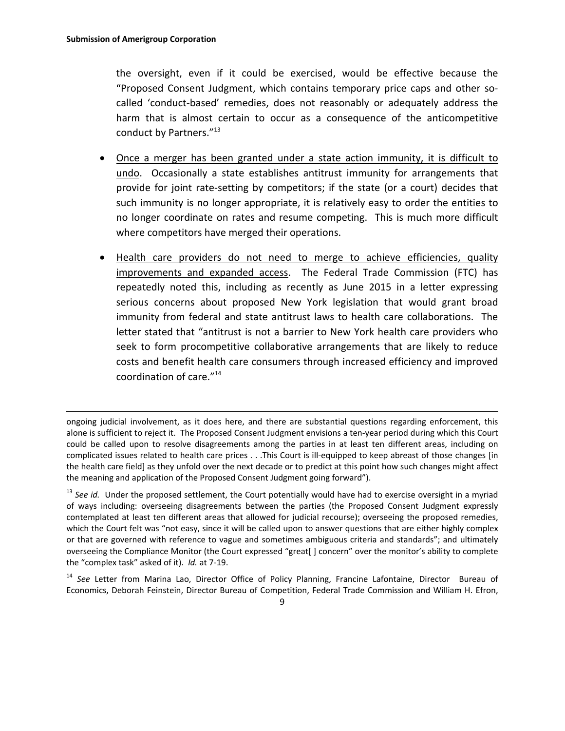the oversight, even if it could be exercised, would be effective because the "Proposed Consent Judgment, which contains temporary price caps and other so‐ called 'conduct‐based' remedies, does not reasonably or adequately address the harm that is almost certain to occur as a consequence of the anticompetitive conduct by Partners."<sup>13</sup>

- Once a merger has been granted under a state action immunity, it is difficult to undo. Occasionally a state establishes antitrust immunity for arrangements that provide for joint rate-setting by competitors; if the state (or a court) decides that such immunity is no longer appropriate, it is relatively easy to order the entities to no longer coordinate on rates and resume competing. This is much more difficult where competitors have merged their operations.
- Health care providers do not need to merge to achieve efficiencies, quality improvements and expanded access. The Federal Trade Commission (FTC) has repeatedly noted this, including as recently as June 2015 in a letter expressing serious concerns about proposed New York legislation that would grant broad immunity from federal and state antitrust laws to health care collaborations. The letter stated that "antitrust is not a barrier to New York health care providers who seek to form procompetitive collaborative arrangements that are likely to reduce costs and benefit health care consumers through increased efficiency and improved coordination of care."<sup>14</sup>

ongoing judicial involvement, as it does here, and there are substantial questions regarding enforcement, this alone is sufficient to reject it. The Proposed Consent Judgment envisions a ten‐year period during which this Court could be called upon to resolve disagreements among the parties in at least ten different areas, including on complicated issues related to health care prices . . .This Court is ill‐equipped to keep abreast of those changes [in the health care field] as they unfold over the next decade or to predict at this point how such changes might affect the meaning and application of the Proposed Consent Judgment going forward").

<sup>&</sup>lt;sup>13</sup> See id. Under the proposed settlement, the Court potentially would have had to exercise oversight in a myriad of ways including: overseeing disagreements between the parties (the Proposed Consent Judgment expressly contemplated at least ten different areas that allowed for judicial recourse); overseeing the proposed remedies, which the Court felt was "not easy, since it will be called upon to answer questions that are either highly complex or that are governed with reference to vague and sometimes ambiguous criteria and standards"; and ultimately overseeing the Compliance Monitor (the Court expressed "great[ ] concern" over the monitor's ability to complete the "complex task" asked of it). *Id.* at 7‐19.

<sup>&</sup>lt;sup>14</sup> See Letter from Marina Lao, Director Office of Policy Planning, Francine Lafontaine, Director Bureau of Economics, Deborah Feinstein, Director Bureau of Competition, Federal Trade Commission and William H. Efron,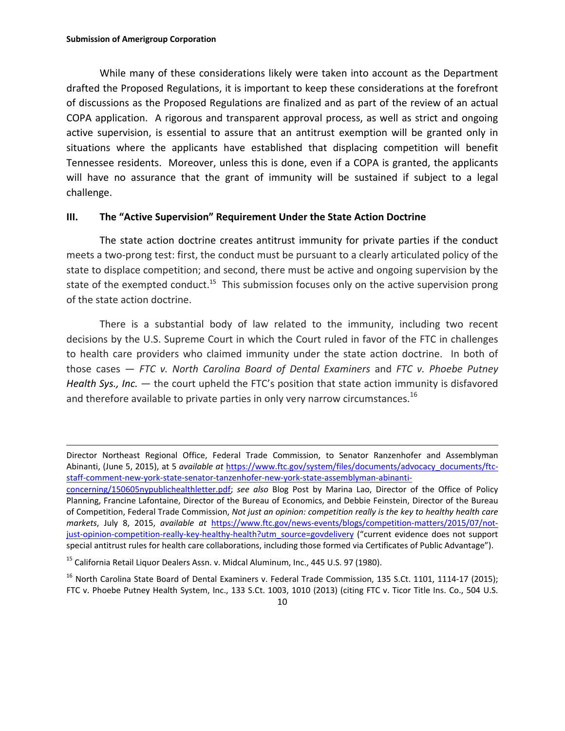While many of these considerations likely were taken into account as the Department drafted the Proposed Regulations, it is important to keep these considerations at the forefront of discussions as the Proposed Regulations are finalized and as part of the review of an actual COPA application. A rigorous and transparent approval process, as well as strict and ongoing active supervision, is essential to assure that an antitrust exemption will be granted only in situations where the applicants have established that displacing competition will benefit Tennessee residents. Moreover, unless this is done, even if a COPA is granted, the applicants will have no assurance that the grant of immunity will be sustained if subject to a legal challenge.

## **III. The "Active Supervision" Requirement Under the State Action Doctrine**

The state action doctrine creates antitrust immunity for private parties if the conduct meets a two‐prong test: first, the conduct must be pursuant to a clearly articulated policy of the state to displace competition; and second, there must be active and ongoing supervision by the state of the exempted conduct.<sup>15</sup> This submission focuses only on the active supervision prong of the state action doctrine.

There is a substantial body of law related to the immunity, including two recent decisions by the U.S. Supreme Court in which the Court ruled in favor of the FTC in challenges to health care providers who claimed immunity under the state action doctrine. In both of those cases — *FTC v. North Carolina Board of Dental Examiners* and *FTC v. Phoebe Putney Health Sys., Inc.* — the court upheld the FTC's position that state action immunity is disfavored and therefore available to private parties in only very narrow circumstances.<sup>16</sup>

<sup>15</sup> California Retail Liquor Dealers Assn. v. Midcal Aluminum, Inc., 445 U.S. 97 (1980).

Director Northeast Regional Office, Federal Trade Commission, to Senator Ranzenhofer and Assemblyman Abinanti, (June 5, 2015), at 5 *available at* https://www.ftc.gov/system/files/documents/advocacy\_documents/ftc‐ staff-comment-new-york-state-senator-tanzenhofer-new-york-state-assemblyman-abinanti-

concerning/150605nypublichealthletter.pdf; *see also* Blog Post by Marina Lao, Director of the Office of Policy Planning, Francine Lafontaine, Director of the Bureau of Economics, and Debbie Feinstein, Director of the Bureau of Competition, Federal Trade Commission, *Not just an opinion: competition really is the key to healthy health care markets*, July 8, 2015, *available at* https://www.ftc.gov/news‐events/blogs/competition‐matters/2015/07/not‐ just-opinion-competition-really-key-healthy-health?utm\_source=govdelivery ("current evidence does not support special antitrust rules for health care collaborations, including those formed via Certificates of Public Advantage").

<sup>&</sup>lt;sup>16</sup> North Carolina State Board of Dental Examiners v. Federal Trade Commission, 135 S.Ct. 1101, 1114-17 (2015); FTC v. Phoebe Putney Health System, Inc., 133 S.Ct. 1003, 1010 (2013) (citing FTC v. Ticor Title Ins. Co., 504 U.S.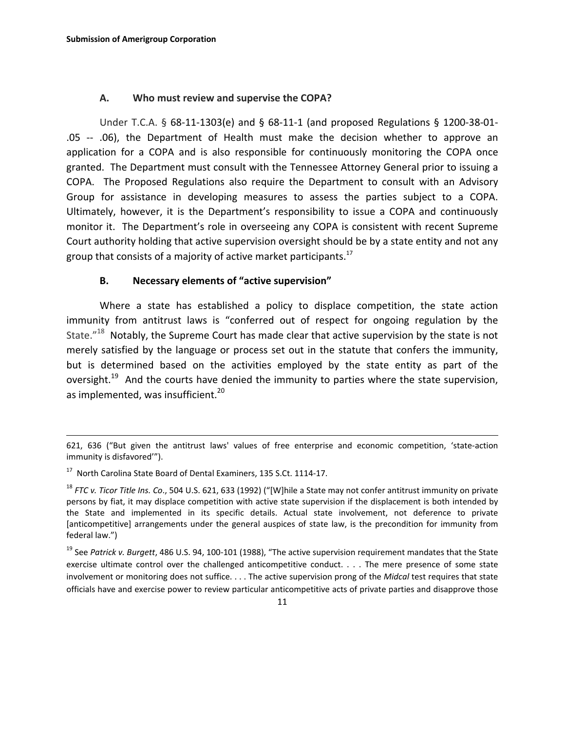#### **A. Who must review and supervise the COPA?**

Under T.C.A. § 68‐11‐1303(e) and § 68‐11‐1 (and proposed Regulations § 1200‐38‐01‐ .05 ‐‐ .06), the Department of Health must make the decision whether to approve an application for a COPA and is also responsible for continuously monitoring the COPA once granted. The Department must consult with the Tennessee Attorney General prior to issuing a COPA. The Proposed Regulations also require the Department to consult with an Advisory Group for assistance in developing measures to assess the parties subject to a COPA. Ultimately, however, it is the Department's responsibility to issue a COPA and continuously monitor it. The Department's role in overseeing any COPA is consistent with recent Supreme Court authority holding that active supervision oversight should be by a state entity and not any group that consists of a majority of active market participants.<sup>17</sup>

## **B. Necessary elements of "active supervision"**

Where a state has established a policy to displace competition, the state action immunity from antitrust laws is "conferred out of respect for ongoing regulation by the State."<sup>18</sup> Notably, the Supreme Court has made clear that active supervision by the state is not merely satisfied by the language or process set out in the statute that confers the immunity, but is determined based on the activities employed by the state entity as part of the oversight.<sup>19</sup> And the courts have denied the immunity to parties where the state supervision, as implemented, was insufficient.<sup>20</sup>

 $\overline{a}$ 

<sup>621, 636 (&</sup>quot;But given the antitrust laws' values of free enterprise and economic competition, 'state-action immunity is disfavored'").

<sup>17</sup> North Carolina State Board of Dental Examiners, 135 S.Ct. 1114‐17.

<sup>18</sup> *FTC v. Ticor Title Ins. Co*., 504 U.S. 621, 633 (1992) ("[W]hile a State may not confer antitrust immunity on private persons by fiat, it may displace competition with active state supervision if the displacement is both intended by the State and implemented in its specific details. Actual state involvement, not deference to private [anticompetitive] arrangements under the general auspices of state law, is the precondition for immunity from federal law.")

<sup>19</sup> See *Patrick v. Burgett*, 486 U.S. 94, 100‐101 (1988), "The active supervision requirement mandates that the State exercise ultimate control over the challenged anticompetitive conduct. . . . The mere presence of some state involvement or monitoring does not suffice. . . . The active supervision prong of the *Midcal* test requires that state officials have and exercise power to review particular anticompetitive acts of private parties and disapprove those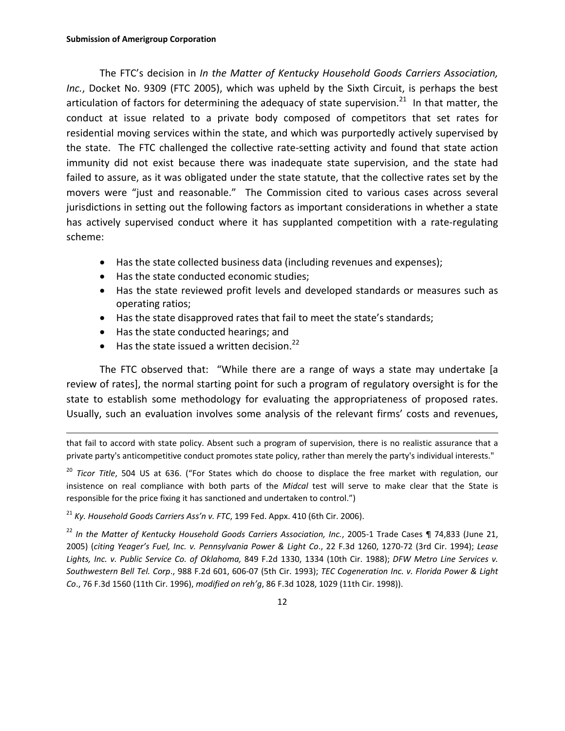The FTC's decision in *In the Matter of Kentucky Household Goods Carriers Association, Inc.*, Docket No. 9309 (FTC 2005), which was upheld by the Sixth Circuit, is perhaps the best articulation of factors for determining the adequacy of state supervision.<sup>21</sup> In that matter, the conduct at issue related to a private body composed of competitors that set rates for residential moving services within the state, and which was purportedly actively supervised by the state. The FTC challenged the collective rate-setting activity and found that state action immunity did not exist because there was inadequate state supervision, and the state had failed to assure, as it was obligated under the state statute, that the collective rates set by the movers were "just and reasonable." The Commission cited to various cases across several jurisdictions in setting out the following factors as important considerations in whether a state has actively supervised conduct where it has supplanted competition with a rate-regulating scheme:

- Has the state collected business data (including revenues and expenses);
- Has the state conducted economic studies;
- Has the state reviewed profit levels and developed standards or measures such as operating ratios;
- Has the state disapproved rates that fail to meet the state's standards;
- Has the state conducted hearings; and

 $\overline{a}$ 

 $\bullet$  Has the state issued a written decision.<sup>22</sup>

The FTC observed that: "While there are a range of ways a state may undertake [a review of rates], the normal starting point for such a program of regulatory oversight is for the state to establish some methodology for evaluating the appropriateness of proposed rates. Usually, such an evaluation involves some analysis of the relevant firms' costs and revenues,

that fail to accord with state policy. Absent such a program of supervision, there is no realistic assurance that a private party's anticompetitive conduct promotes state policy, rather than merely the party's individual interests."

<sup>20</sup> *Ticor Title*, 504 US at 636. ("For States which do choose to displace the free market with regulation, our insistence on real compliance with both parts of the *Midcal* test will serve to make clear that the State is responsible for the price fixing it has sanctioned and undertaken to control.")

<sup>21</sup> *Ky. Household Goods Carriers Ass'n v. FTC*, 199 Fed. Appx. 410 (6th Cir. 2006).

<sup>22</sup> *In the Matter of Kentucky Household Goods Carriers Association, Inc.*, 2005‐1 Trade Cases ¶ 74,833 (June 21, 2005) (*citing Yeager's Fuel, Inc. v. Pennsylvania Power & Light Co*., 22 F.3d 1260, 1270‐72 (3rd Cir. 1994); *Lease Lights, Inc. v. Public Service Co. of Oklahoma,* 849 F.2d 1330, 1334 (10th Cir. 1988); *DFW Metro Line Services v. Southwestern Bell Tel. Corp*., 988 F.2d 601, 606‐07 (5th Cir. 1993); *TEC Cogeneration Inc. v. Florida Power & Light Co*., 76 F.3d 1560 (11th Cir. 1996), *modified on reh'g*, 86 F.3d 1028, 1029 (11th Cir. 1998)).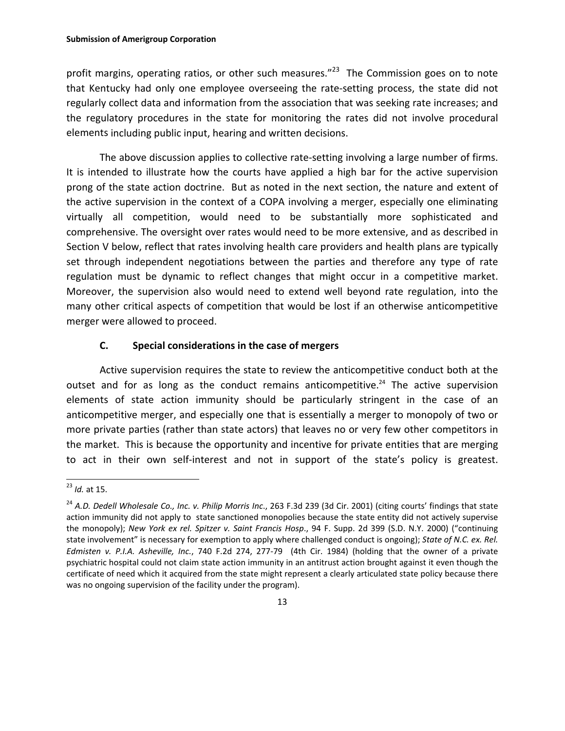profit margins, operating ratios, or other such measures." $^{23}$  The Commission goes on to note that Kentucky had only one employee overseeing the rate‐setting process, the state did not regularly collect data and information from the association that was seeking rate increases; and the regulatory procedures in the state for monitoring the rates did not involve procedural elements including public input, hearing and written decisions.

The above discussion applies to collective rate-setting involving a large number of firms. It is intended to illustrate how the courts have applied a high bar for the active supervision prong of the state action doctrine. But as noted in the next section, the nature and extent of the active supervision in the context of a COPA involving a merger, especially one eliminating virtually all competition, would need to be substantially more sophisticated and comprehensive. The oversight over rates would need to be more extensive, and as described in Section V below, reflect that rates involving health care providers and health plans are typically set through independent negotiations between the parties and therefore any type of rate regulation must be dynamic to reflect changes that might occur in a competitive market. Moreover, the supervision also would need to extend well beyond rate regulation, into the many other critical aspects of competition that would be lost if an otherwise anticompetitive merger were allowed to proceed.

## **C. Special considerations in the case of mergers**

Active supervision requires the state to review the anticompetitive conduct both at the outset and for as long as the conduct remains anticompetitive.<sup>24</sup> The active supervision elements of state action immunity should be particularly stringent in the case of an anticompetitive merger, and especially one that is essentially a merger to monopoly of two or more private parties (rather than state actors) that leaves no or very few other competitors in the market. This is because the opportunity and incentive for private entities that are merging to act in their own self‐interest and not in support of the state's policy is greatest.

 $\overline{a}$ <sup>23</sup> *Id.* at 15.

<sup>24</sup> *A.D. Dedell Wholesale Co., Inc. v. Philip Morris Inc*., 263 F.3d 239 (3d Cir. 2001) (citing courts' findings that state action immunity did not apply to state sanctioned monopolies because the state entity did not actively supervise the monopoly); *New York ex rel. Spitzer v. Saint Francis Hosp*., 94 F. Supp. 2d 399 (S.D. N.Y. 2000) ("continuing state involvement" is necessary for exemption to apply where challenged conduct is ongoing); *State of N.C. ex. Rel. Edmisten v. P.I.A. Asheville, Inc.*, 740 F.2d 274, 277‐79 (4th Cir. 1984) (holding that the owner of a private psychiatric hospital could not claim state action immunity in an antitrust action brought against it even though the certificate of need which it acquired from the state might represent a clearly articulated state policy because there was no ongoing supervision of the facility under the program).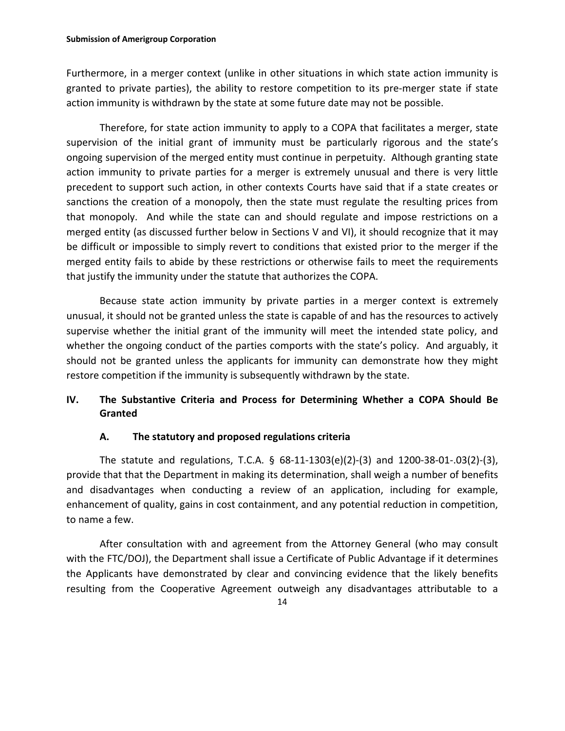Furthermore, in a merger context (unlike in other situations in which state action immunity is granted to private parties), the ability to restore competition to its pre-merger state if state action immunity is withdrawn by the state at some future date may not be possible.

Therefore, for state action immunity to apply to a COPA that facilitates a merger, state supervision of the initial grant of immunity must be particularly rigorous and the state's ongoing supervision of the merged entity must continue in perpetuity. Although granting state action immunity to private parties for a merger is extremely unusual and there is very little precedent to support such action, in other contexts Courts have said that if a state creates or sanctions the creation of a monopoly, then the state must regulate the resulting prices from that monopoly. And while the state can and should regulate and impose restrictions on a merged entity (as discussed further below in Sections V and VI), it should recognize that it may be difficult or impossible to simply revert to conditions that existed prior to the merger if the merged entity fails to abide by these restrictions or otherwise fails to meet the requirements that justify the immunity under the statute that authorizes the COPA.

Because state action immunity by private parties in a merger context is extremely unusual, it should not be granted unless the state is capable of and has the resources to actively supervise whether the initial grant of the immunity will meet the intended state policy, and whether the ongoing conduct of the parties comports with the state's policy. And arguably, it should not be granted unless the applicants for immunity can demonstrate how they might restore competition if the immunity is subsequently withdrawn by the state.

## **IV. The Substantive Criteria and Process for Determining Whether a COPA Should Be Granted**

## **A. The statutory and proposed regulations criteria**

The statute and regulations, T.C.A.  $\S$  68-11-1303(e)(2)-(3) and 1200-38-01-.03(2)-(3), provide that that the Department in making its determination, shall weigh a number of benefits and disadvantages when conducting a review of an application, including for example, enhancement of quality, gains in cost containment, and any potential reduction in competition, to name a few.

After consultation with and agreement from the Attorney General (who may consult with the FTC/DOJ), the Department shall issue a Certificate of Public Advantage if it determines the Applicants have demonstrated by clear and convincing evidence that the likely benefits resulting from the Cooperative Agreement outweigh any disadvantages attributable to a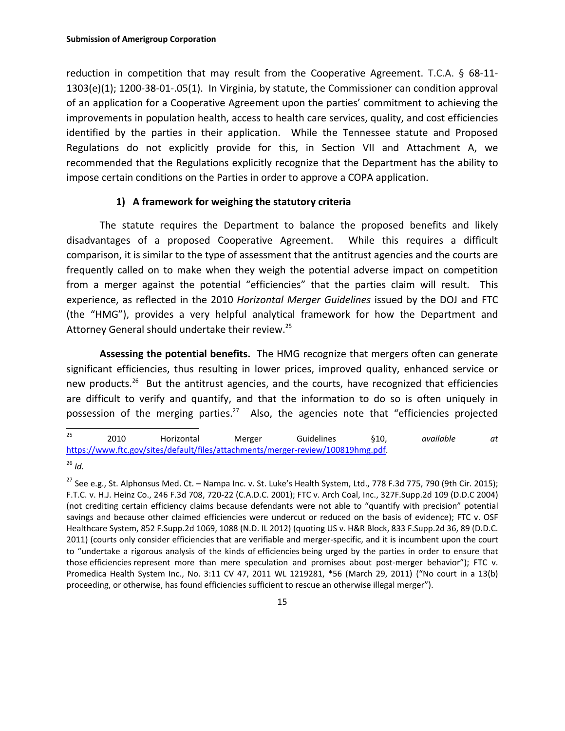reduction in competition that may result from the Cooperative Agreement. T.C.A. § 68‐11‐ 1303(e)(1); 1200‐38‐01‐.05(1). In Virginia, by statute, the Commissioner can condition approval of an application for a Cooperative Agreement upon the parties' commitment to achieving the improvements in population health, access to health care services, quality, and cost efficiencies identified by the parties in their application. While the Tennessee statute and Proposed Regulations do not explicitly provide for this, in Section VII and Attachment A, we recommended that the Regulations explicitly recognize that the Department has the ability to impose certain conditions on the Parties in order to approve a COPA application.

## **1) A framework for weighing the statutory criteria**

The statute requires the Department to balance the proposed benefits and likely disadvantages of a proposed Cooperative Agreement. While this requires a difficult comparison, it is similar to the type of assessment that the antitrust agencies and the courts are frequently called on to make when they weigh the potential adverse impact on competition from a merger against the potential "efficiencies" that the parties claim will result. This experience, as reflected in the 2010 *Horizontal Merger Guidelines* issued by the DOJ and FTC (the "HMG"), provides a very helpful analytical framework for how the Department and Attorney General should undertake their review.<sup>25</sup>

**Assessing the potential benefits.** The HMG recognize that mergers often can generate significant efficiencies, thus resulting in lower prices, improved quality, enhanced service or new products.<sup>26</sup> But the antitrust agencies, and the courts, have recognized that efficiencies are difficult to verify and quantify, and that the information to do so is often uniquely in possession of the merging parties.<sup>27</sup> Also, the agencies note that "efficiencies projected

 $25$ <sup>25</sup> 2010 Horizontal Merger Guidelines §10, *available at* https://www.ftc.gov/sites/default/files/attachments/merger‐review/100819hmg.pdf.

<sup>26</sup> *Id.*

 $^{27}$  See e.g., St. Alphonsus Med. Ct. – Nampa Inc. v. St. Luke's Health System, Ltd., 778 F.3d 775, 790 (9th Cir. 2015); F.T.C. v. H.J. Heinz Co., 246 F.3d 708, 720‐22 (C.A.D.C. 2001); FTC v. Arch Coal, Inc., 327F.Supp.2d 109 (D.D.C 2004) (not crediting certain efficiency claims because defendants were not able to "quantify with precision" potential savings and because other claimed efficiencies were undercut or reduced on the basis of evidence); FTC v. OSF Healthcare System, 852 F.Supp.2d 1069, 1088 (N.D. IL 2012) (quoting US v. H&R Block, 833 F.Supp.2d 36, 89 (D.D.C. 2011) (courts only consider efficiencies that are verifiable and merger‐specific, and it is incumbent upon the court to "undertake a rigorous analysis of the kinds of efficiencies being urged by the parties in order to ensure that those efficiencies represent more than mere speculation and promises about post-merger behavior"); FTC v. Promedica Health System Inc., No. 3:11 CV 47, 2011 WL 1219281, \*56 (March 29, 2011) ("No court in a 13(b) proceeding, or otherwise, has found efficiencies sufficient to rescue an otherwise illegal merger").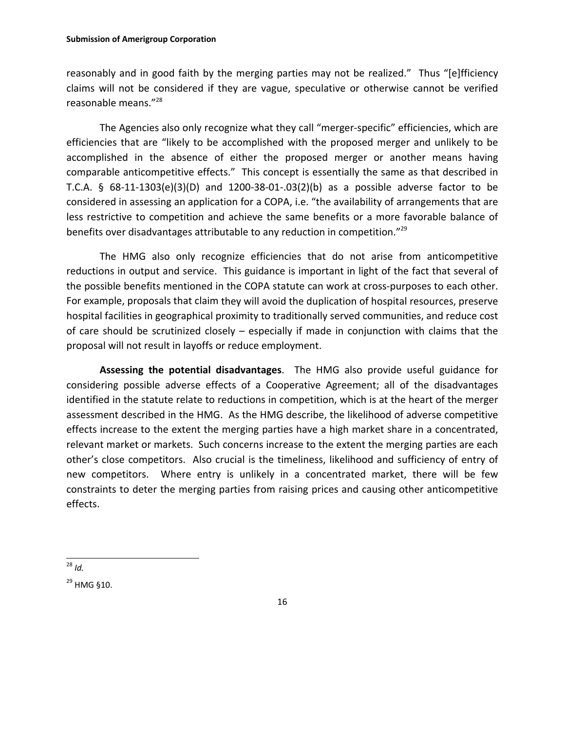#### **Submission of Amerigroup Corporation**

reasonably and in good faith by the merging parties may not be realized." Thus "[e]fficiency claims will not be considered if they are vague, speculative or otherwise cannot be verified reasonable means."<sup>28</sup>

The Agencies also only recognize what they call "merger‐specific" efficiencies, which are efficiencies that are "likely to be accomplished with the proposed merger and unlikely to be accomplished in the absence of either the proposed merger or another means having comparable anticompetitive effects." This concept is essentially the same as that described in T.C.A. § 68‐11‐1303(e)(3)(D) and 1200‐38‐01‐.03(2)(b) as a possible adverse factor to be considered in assessing an application for a COPA, i.e. "the availability of arrangements that are less restrictive to competition and achieve the same benefits or a more favorable balance of benefits over disadvantages attributable to any reduction in competition."<sup>29</sup>

The HMG also only recognize efficiencies that do not arise from anticompetitive reductions in output and service. This guidance is important in light of the fact that several of the possible benefits mentioned in the COPA statute can work at cross-purposes to each other. For example, proposals that claim they will avoid the duplication of hospital resources, preserve hospital facilities in geographical proximity to traditionally served communities, and reduce cost of care should be scrutinized closely – especially if made in conjunction with claims that the proposal will not result in layoffs or reduce employment.

**Assessing the potential disadvantages**. The HMG also provide useful guidance for considering possible adverse effects of a Cooperative Agreement; all of the disadvantages identified in the statute relate to reductions in competition, which is at the heart of the merger assessment described in the HMG. As the HMG describe, the likelihood of adverse competitive effects increase to the extent the merging parties have a high market share in a concentrated, relevant market or markets. Such concerns increase to the extent the merging parties are each other's close competitors. Also crucial is the timeliness, likelihood and sufficiency of entry of new competitors. Where entry is unlikely in a concentrated market, there will be few constraints to deter the merging parties from raising prices and causing other anticompetitive effects.

 $\overline{a}$ <sup>28</sup> *Id.*

<sup>&</sup>lt;sup>29</sup> HMG §10.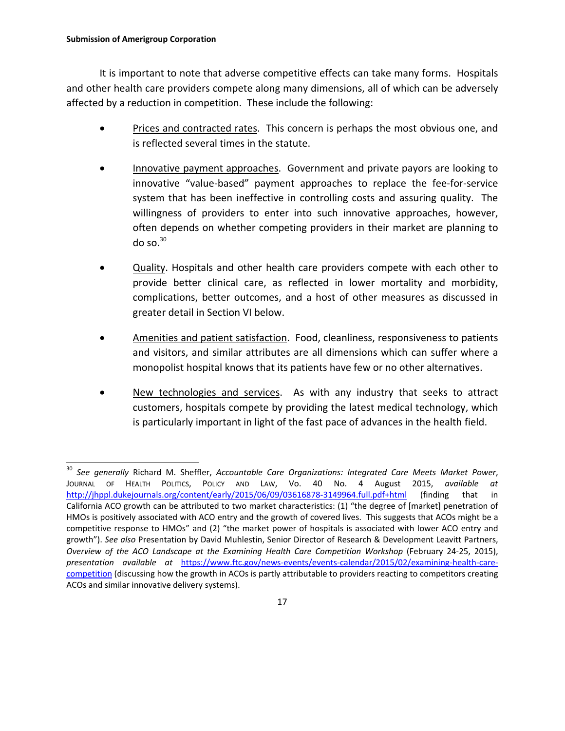It is important to note that adverse competitive effects can take many forms. Hospitals and other health care providers compete along many dimensions, all of which can be adversely affected by a reduction in competition. These include the following:

- Prices and contracted rates. This concern is perhaps the most obvious one, and is reflected several times in the statute.
- Innovative payment approaches. Government and private payors are looking to innovative "value‐based" payment approaches to replace the fee‐for‐service system that has been ineffective in controlling costs and assuring quality. The willingness of providers to enter into such innovative approaches, however, often depends on whether competing providers in their market are planning to do so. $30$
- Quality. Hospitals and other health care providers compete with each other to provide better clinical care, as reflected in lower mortality and morbidity, complications, better outcomes, and a host of other measures as discussed in greater detail in Section VI below.
- Amenities and patient satisfaction. Food, cleanliness, responsiveness to patients and visitors, and similar attributes are all dimensions which can suffer where a monopolist hospital knows that its patients have few or no other alternatives.
- New technologies and services. As with any industry that seeks to attract customers, hospitals compete by providing the latest medical technology, which is particularly important in light of the fast pace of advances in the health field.

 $\overline{a}$ <sup>30</sup> *See generally* Richard M. Sheffler, *Accountable Care Organizations: Integrated Care Meets Market Power*, JOURNAL OF HEALTH POLITICS, POLICY AND LAW, Vo. 40 No. 4 August 2015, *available at* http://jhppl.dukejournals.org/content/early/2015/06/09/03616878‐3149964.full.pdf+html (finding that in California ACO growth can be attributed to two market characteristics: (1) "the degree of [market] penetration of HMOs is positively associated with ACO entry and the growth of covered lives. This suggests that ACOs might be a competitive response to HMOs" and (2) "the market power of hospitals is associated with lower ACO entry and growth"). *See also* Presentation by David Muhlestin, Senior Director of Research & Development Leavitt Partners, *Overview of the ACO Landscape at the Examining Health Care Competition Workshop* (February 24‐25, 2015), *presentation available at* https://www.ftc.gov/news‐events/events‐calendar/2015/02/examining‐health‐care‐ competition (discussing how the growth in ACOs is partly attributable to providers reacting to competitors creating ACOs and similar innovative delivery systems).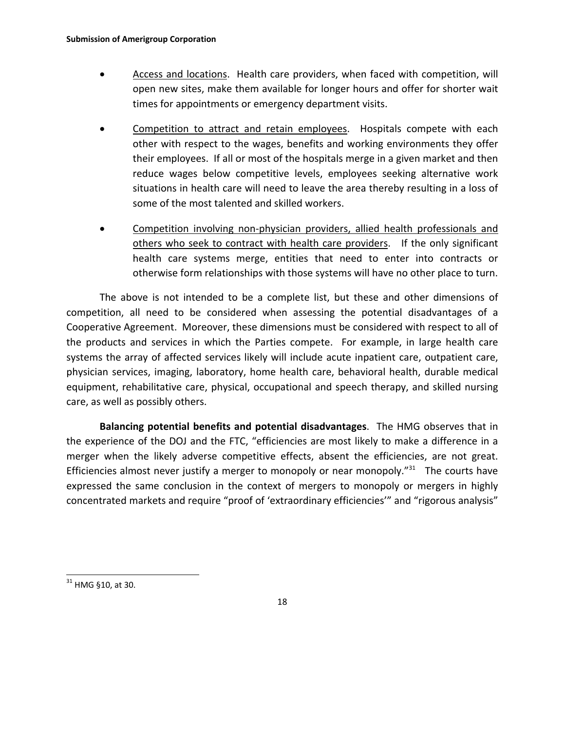- **•** Access and locations. Health care providers, when faced with competition, will open new sites, make them available for longer hours and offer for shorter wait times for appointments or emergency department visits.
- Competition to attract and retain employees. Hospitals compete with each other with respect to the wages, benefits and working environments they offer their employees. If all or most of the hospitals merge in a given market and then reduce wages below competitive levels, employees seeking alternative work situations in health care will need to leave the area thereby resulting in a loss of some of the most talented and skilled workers.
- Competition involving non‐physician providers, allied health professionals and others who seek to contract with health care providers. If the only significant health care systems merge, entities that need to enter into contracts or otherwise form relationships with those systems will have no other place to turn.

The above is not intended to be a complete list, but these and other dimensions of competition, all need to be considered when assessing the potential disadvantages of a Cooperative Agreement. Moreover, these dimensions must be considered with respect to all of the products and services in which the Parties compete. For example, in large health care systems the array of affected services likely will include acute inpatient care, outpatient care, physician services, imaging, laboratory, home health care, behavioral health, durable medical equipment, rehabilitative care, physical, occupational and speech therapy, and skilled nursing care, as well as possibly others.

**Balancing potential benefits and potential disadvantages**. The HMG observes that in the experience of the DOJ and the FTC, "efficiencies are most likely to make a difference in a merger when the likely adverse competitive effects, absent the efficiencies, are not great. Efficiencies almost never justify a merger to monopoly or near monopoly. $"31$  The courts have expressed the same conclusion in the context of mergers to monopoly or mergers in highly concentrated markets and require "proof of 'extraordinary efficiencies'" and "rigorous analysis"

 $\overline{a}$ 

 $31$  HMG §10, at 30.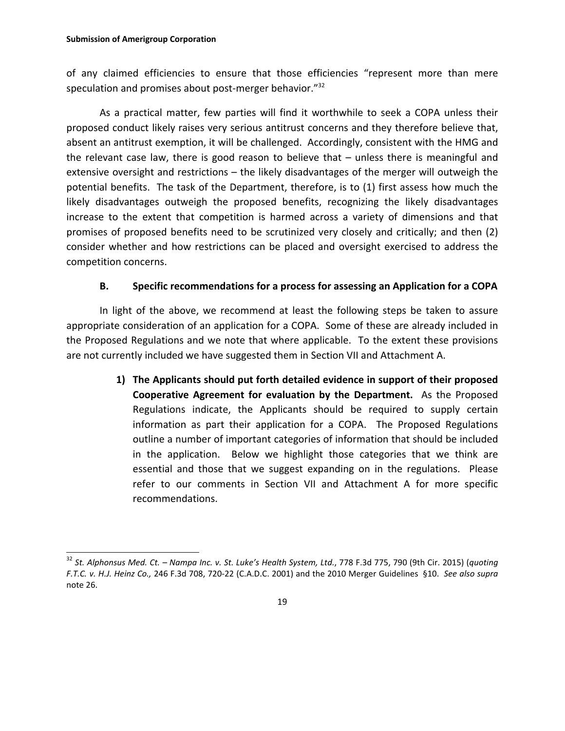of any claimed efficiencies to ensure that those efficiencies "represent more than mere speculation and promises about post-merger behavior."<sup>32</sup>

As a practical matter, few parties will find it worthwhile to seek a COPA unless their proposed conduct likely raises very serious antitrust concerns and they therefore believe that, absent an antitrust exemption, it will be challenged. Accordingly, consistent with the HMG and the relevant case law, there is good reason to believe that – unless there is meaningful and extensive oversight and restrictions – the likely disadvantages of the merger will outweigh the potential benefits. The task of the Department, therefore, is to (1) first assess how much the likely disadvantages outweigh the proposed benefits, recognizing the likely disadvantages increase to the extent that competition is harmed across a variety of dimensions and that promises of proposed benefits need to be scrutinized very closely and critically; and then (2) consider whether and how restrictions can be placed and oversight exercised to address the competition concerns.

## **B. Specific recommendations for a process for assessing an Application for a COPA**

In light of the above, we recommend at least the following steps be taken to assure appropriate consideration of an application for a COPA. Some of these are already included in the Proposed Regulations and we note that where applicable. To the extent these provisions are not currently included we have suggested them in Section VII and Attachment A.

> **1) The Applicants should put forth detailed evidence in support of their proposed Cooperative Agreement for evaluation by the Department.**  As the Proposed Regulations indicate, the Applicants should be required to supply certain information as part their application for a COPA. The Proposed Regulations outline a number of important categories of information that should be included in the application. Below we highlight those categories that we think are essential and those that we suggest expanding on in the regulations. Please refer to our comments in Section VII and Attachment A for more specific recommendations.

<sup>32</sup> *St. Alphonsus Med. Ct. – Nampa Inc. v. St. Luke's Health System, Ltd.*, 778 F.3d 775, 790 (9th Cir. 2015) (*quoting F.T.C. v. H.J. Heinz Co.,* 246 F.3d 708, 720‐22 (C.A.D.C. 2001) and the 2010 Merger Guidelines §10. *See also supra* note 26.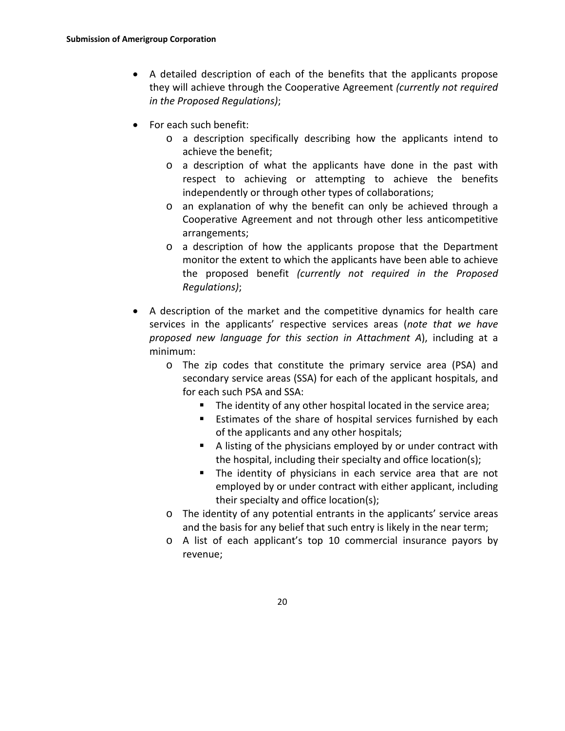- A detailed description of each of the benefits that the applicants propose they will achieve through the Cooperative Agreement *(currently not required in the Proposed Regulations)*;
- For each such benefit:
	- o a description specifically describing how the applicants intend to achieve the benefit;
	- o a description of what the applicants have done in the past with respect to achieving or attempting to achieve the benefits independently or through other types of collaborations;
	- o an explanation of why the benefit can only be achieved through a Cooperative Agreement and not through other less anticompetitive arrangements;
	- o a description of how the applicants propose that the Department monitor the extent to which the applicants have been able to achieve the proposed benefit *(currently not required in the Proposed Regulations)*;
- A description of the market and the competitive dynamics for health care services in the applicants' respective services areas (*note that we have proposed new language for this section in Attachment A*), including at a minimum:
	- o The zip codes that constitute the primary service area (PSA) and secondary service areas (SSA) for each of the applicant hospitals, and for each such PSA and SSA:
		- The identity of any other hospital located in the service area;
		- **Estimates of the share of hospital services furnished by each** of the applicants and any other hospitals;
		- A listing of the physicians employed by or under contract with the hospital, including their specialty and office location(s);
		- **The identity of physicians in each service area that are not** employed by or under contract with either applicant, including their specialty and office location(s);
	- o The identity of any potential entrants in the applicants' service areas and the basis for any belief that such entry is likely in the near term;
	- o A list of each applicant's top 10 commercial insurance payors by revenue;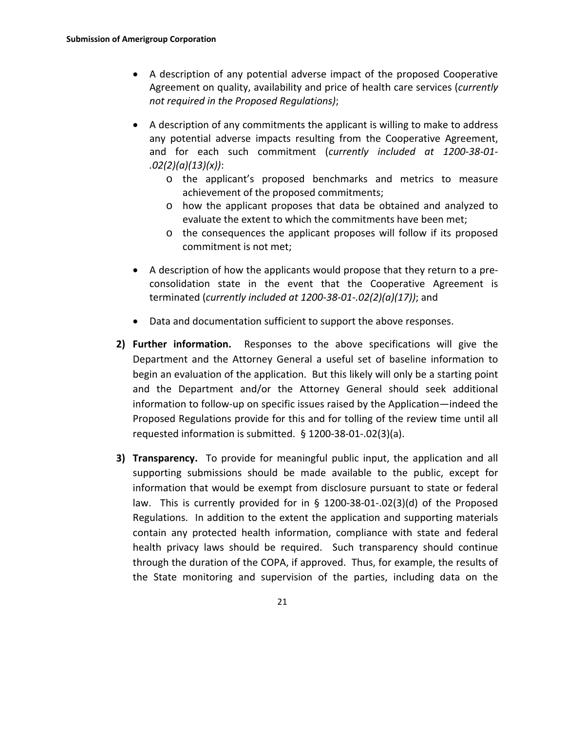- A description of any potential adverse impact of the proposed Cooperative Agreement on quality, availability and price of health care services (*currently not required in the Proposed Regulations)*;
- A description of any commitments the applicant is willing to make to address any potential adverse impacts resulting from the Cooperative Agreement, and for each such commitment (*currently included at 1200‐38‐01‐ .02(2)(a)(13)(x))*:
	- o the applicant's proposed benchmarks and metrics to measure achievement of the proposed commitments;
	- o how the applicant proposes that data be obtained and analyzed to evaluate the extent to which the commitments have been met;
	- o the consequences the applicant proposes will follow if its proposed commitment is not met;
- A description of how the applicants would propose that they return to a pre‐ consolidation state in the event that the Cooperative Agreement is terminated (*currently included at 1200‐38‐01‐.02(2)(a)(17))*; and
- Data and documentation sufficient to support the above responses.
- **2) Further information.**  Responses to the above specifications will give the Department and the Attorney General a useful set of baseline information to begin an evaluation of the application. But this likely will only be a starting point and the Department and/or the Attorney General should seek additional information to follow‐up on specific issues raised by the Application—indeed the Proposed Regulations provide for this and for tolling of the review time until all requested information is submitted. § 1200‐38‐01‐.02(3)(a).
- **3) Transparency.** To provide for meaningful public input, the application and all supporting submissions should be made available to the public, except for information that would be exempt from disclosure pursuant to state or federal law. This is currently provided for in § 1200-38-01-.02(3)(d) of the Proposed Regulations. In addition to the extent the application and supporting materials contain any protected health information, compliance with state and federal health privacy laws should be required. Such transparency should continue through the duration of the COPA, if approved. Thus, for example, the results of the State monitoring and supervision of the parties, including data on the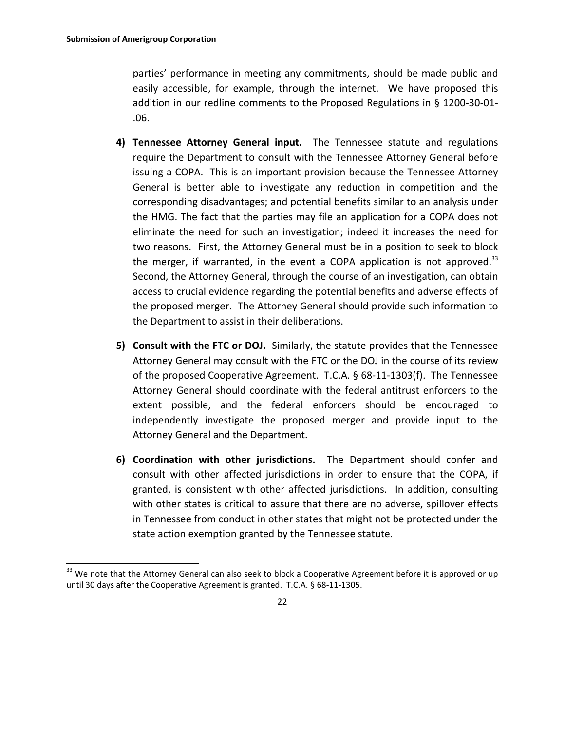parties' performance in meeting any commitments, should be made public and easily accessible, for example, through the internet. We have proposed this addition in our redline comments to the Proposed Regulations in § 1200‐30‐01‐ .06.

- **4) Tennessee Attorney General input.**  The Tennessee statute and regulations require the Department to consult with the Tennessee Attorney General before issuing a COPA. This is an important provision because the Tennessee Attorney General is better able to investigate any reduction in competition and the corresponding disadvantages; and potential benefits similar to an analysis under the HMG. The fact that the parties may file an application for a COPA does not eliminate the need for such an investigation; indeed it increases the need for two reasons. First, the Attorney General must be in a position to seek to block the merger, if warranted, in the event a COPA application is not approved.<sup>33</sup> Second, the Attorney General, through the course of an investigation, can obtain access to crucial evidence regarding the potential benefits and adverse effects of the proposed merger. The Attorney General should provide such information to the Department to assist in their deliberations.
- **5) Consult with the FTC or DOJ.** Similarly, the statute provides that the Tennessee Attorney General may consult with the FTC or the DOJ in the course of its review of the proposed Cooperative Agreement. T.C.A. § 68‐11‐1303(f). The Tennessee Attorney General should coordinate with the federal antitrust enforcers to the extent possible, and the federal enforcers should be encouraged to independently investigate the proposed merger and provide input to the Attorney General and the Department.
- **6) Coordination with other jurisdictions.**  The Department should confer and consult with other affected jurisdictions in order to ensure that the COPA, if granted, is consistent with other affected jurisdictions. In addition, consulting with other states is critical to assure that there are no adverse, spillover effects in Tennessee from conduct in other states that might not be protected under the state action exemption granted by the Tennessee statute.

<sup>&</sup>lt;sup>33</sup> We note that the Attorney General can also seek to block a Cooperative Agreement before it is approved or up until 30 days after the Cooperative Agreement is granted. T.C.A. § 68‐11‐1305.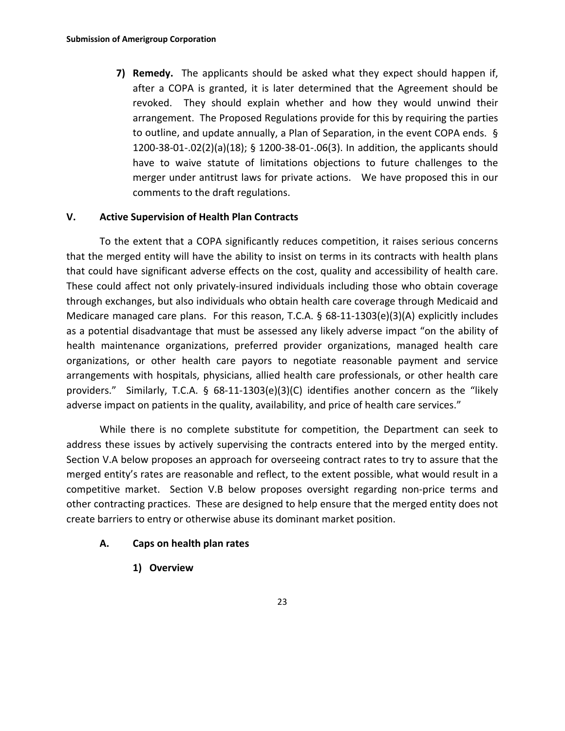**7) Remedy.**  The applicants should be asked what they expect should happen if, after a COPA is granted, it is later determined that the Agreement should be revoked. They should explain whether and how they would unwind their arrangement. The Proposed Regulations provide for this by requiring the parties to outline, and update annually, a Plan of Separation, in the event COPA ends. § 1200‐38‐01‐.02(2)(a)(18); § 1200‐38‐01‐.06(3). In addition, the applicants should have to waive statute of limitations objections to future challenges to the merger under antitrust laws for private actions. We have proposed this in our comments to the draft regulations.

## **V. Active Supervision of Health Plan Contracts**

To the extent that a COPA significantly reduces competition, it raises serious concerns that the merged entity will have the ability to insist on terms in its contracts with health plans that could have significant adverse effects on the cost, quality and accessibility of health care. These could affect not only privately‐insured individuals including those who obtain coverage through exchanges, but also individuals who obtain health care coverage through Medicaid and Medicare managed care plans. For this reason, T.C.A. § 68-11-1303(e)(3)(A) explicitly includes as a potential disadvantage that must be assessed any likely adverse impact "on the ability of health maintenance organizations, preferred provider organizations, managed health care organizations, or other health care payors to negotiate reasonable payment and service arrangements with hospitals, physicians, allied health care professionals, or other health care providers." Similarly, T.C.A. § 68-11-1303(e)(3)(C) identifies another concern as the "likely adverse impact on patients in the quality, availability, and price of health care services."

While there is no complete substitute for competition, the Department can seek to address these issues by actively supervising the contracts entered into by the merged entity. Section V.A below proposes an approach for overseeing contract rates to try to assure that the merged entity's rates are reasonable and reflect, to the extent possible, what would result in a competitive market. Section V.B below proposes oversight regarding non-price terms and other contracting practices. These are designed to help ensure that the merged entity does not create barriers to entry or otherwise abuse its dominant market position.

## **A. Caps on health plan rates**

**1) Overview**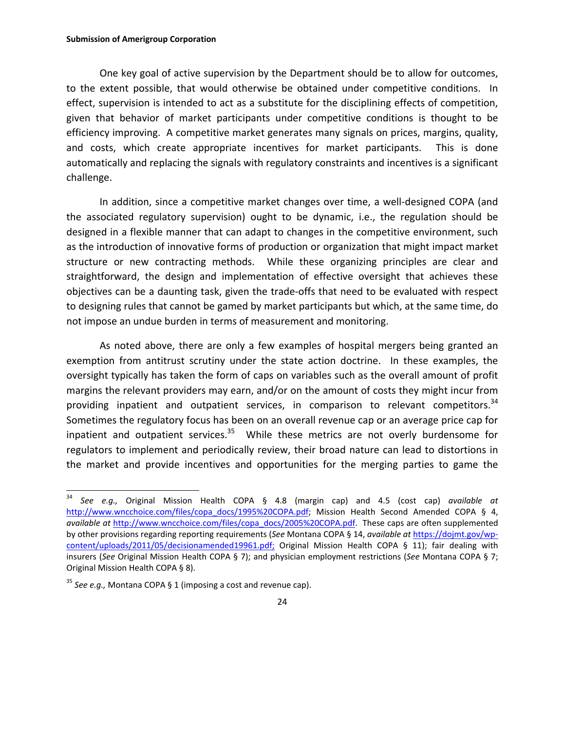#### **Submission of Amerigroup Corporation**

One key goal of active supervision by the Department should be to allow for outcomes, to the extent possible, that would otherwise be obtained under competitive conditions. In effect, supervision is intended to act as a substitute for the disciplining effects of competition, given that behavior of market participants under competitive conditions is thought to be efficiency improving. A competitive market generates many signals on prices, margins, quality, and costs, which create appropriate incentives for market participants. This is done automatically and replacing the signals with regulatory constraints and incentives is a significant challenge.

In addition, since a competitive market changes over time, a well‐designed COPA (and the associated regulatory supervision) ought to be dynamic, i.e., the regulation should be designed in a flexible manner that can adapt to changes in the competitive environment, such as the introduction of innovative forms of production or organization that might impact market structure or new contracting methods. While these organizing principles are clear and straightforward, the design and implementation of effective oversight that achieves these objectives can be a daunting task, given the trade‐offs that need to be evaluated with respect to designing rules that cannot be gamed by market participants but which, at the same time, do not impose an undue burden in terms of measurement and monitoring.

As noted above, there are only a few examples of hospital mergers being granted an exemption from antitrust scrutiny under the state action doctrine. In these examples, the oversight typically has taken the form of caps on variables such as the overall amount of profit margins the relevant providers may earn, and/or on the amount of costs they might incur from providing inpatient and outpatient services, in comparison to relevant competitors. $34$ Sometimes the regulatory focus has been on an overall revenue cap or an average price cap for inpatient and outpatient services. $35$  While these metrics are not overly burdensome for regulators to implement and periodically review, their broad nature can lead to distortions in the market and provide incentives and opportunities for the merging parties to game the

 $\overline{a}$ 

<sup>34</sup> *See e.g.,* Original Mission Health COPA § 4.8 (margin cap) and 4.5 (cost cap) *available at* http://www.wncchoice.com/files/copa\_docs/1995%20COPA.pdf; Mission Health Second Amended COPA § 4, *available at* http://www.wncchoice.com/files/copa\_docs/2005%20COPA.pdf. These caps are often supplemented by other provisions regarding reporting requirements (*See* Montana COPA § 14, *available at* https://dojmt.gov/wp‐ content/uploads/2011/05/decisionamended19961.pdf; Original Mission Health COPA § 11); fair dealing with insurers (*See* Original Mission Health COPA § 7); and physician employment restrictions (*See* Montana COPA § 7; Original Mission Health COPA § 8).

<sup>35</sup> *See e.g.,* Montana COPA § 1 (imposing a cost and revenue cap).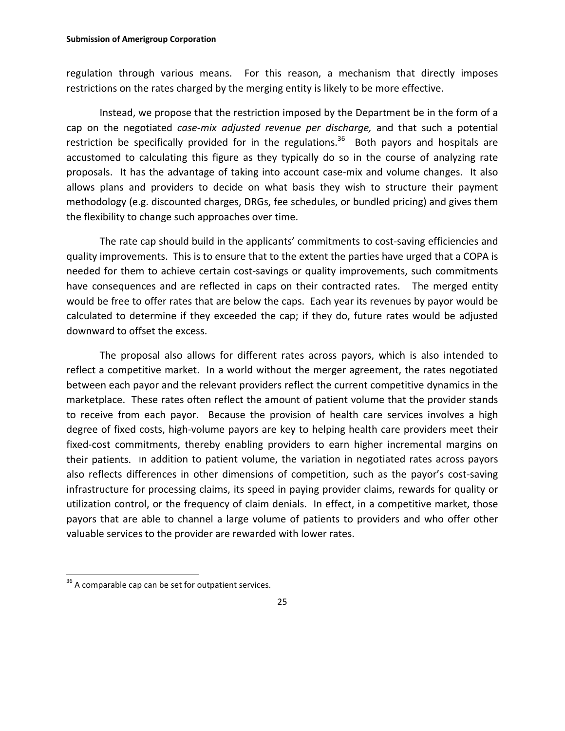regulation through various means. For this reason, a mechanism that directly imposes restrictions on the rates charged by the merging entity is likely to be more effective.

Instead, we propose that the restriction imposed by the Department be in the form of a cap on the negotiated *case‐mix adjusted revenue per discharge,* and that such a potential restriction be specifically provided for in the regulations.<sup>36</sup> Both payors and hospitals are accustomed to calculating this figure as they typically do so in the course of analyzing rate proposals. It has the advantage of taking into account case-mix and volume changes. It also allows plans and providers to decide on what basis they wish to structure their payment methodology (e.g. discounted charges, DRGs, fee schedules, or bundled pricing) and gives them the flexibility to change such approaches over time.

The rate cap should build in the applicants' commitments to cost‐saving efficiencies and quality improvements. This is to ensure that to the extent the parties have urged that a COPA is needed for them to achieve certain cost-savings or quality improvements, such commitments have consequences and are reflected in caps on their contracted rates. The merged entity would be free to offer rates that are below the caps. Each year its revenues by payor would be calculated to determine if they exceeded the cap; if they do, future rates would be adjusted downward to offset the excess.

The proposal also allows for different rates across payors, which is also intended to reflect a competitive market. In a world without the merger agreement, the rates negotiated between each payor and the relevant providers reflect the current competitive dynamics in the marketplace. These rates often reflect the amount of patient volume that the provider stands to receive from each payor. Because the provision of health care services involves a high degree of fixed costs, high-volume payors are key to helping health care providers meet their fixed-cost commitments, thereby enabling providers to earn higher incremental margins on their patients. In addition to patient volume, the variation in negotiated rates across payors also reflects differences in other dimensions of competition, such as the payor's cost‐saving infrastructure for processing claims, its speed in paying provider claims, rewards for quality or utilization control, or the frequency of claim denials. In effect, in a competitive market, those payors that are able to channel a large volume of patients to providers and who offer other valuable services to the provider are rewarded with lower rates.

 $\overline{a}$ 

 $36$  A comparable cap can be set for outpatient services.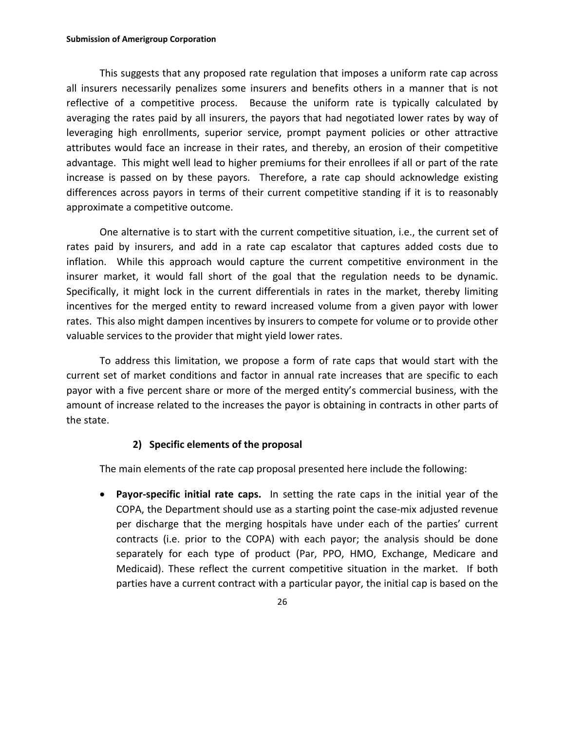#### **Submission of Amerigroup Corporation**

This suggests that any proposed rate regulation that imposes a uniform rate cap across all insurers necessarily penalizes some insurers and benefits others in a manner that is not reflective of a competitive process. Because the uniform rate is typically calculated by averaging the rates paid by all insurers, the payors that had negotiated lower rates by way of leveraging high enrollments, superior service, prompt payment policies or other attractive attributes would face an increase in their rates, and thereby, an erosion of their competitive advantage. This might well lead to higher premiums for their enrollees if all or part of the rate increase is passed on by these payors. Therefore, a rate cap should acknowledge existing differences across payors in terms of their current competitive standing if it is to reasonably approximate a competitive outcome.

One alternative is to start with the current competitive situation, i.e., the current set of rates paid by insurers, and add in a rate cap escalator that captures added costs due to inflation. While this approach would capture the current competitive environment in the insurer market, it would fall short of the goal that the regulation needs to be dynamic. Specifically, it might lock in the current differentials in rates in the market, thereby limiting incentives for the merged entity to reward increased volume from a given payor with lower rates. This also might dampen incentives by insurers to compete for volume or to provide other valuable services to the provider that might yield lower rates.

To address this limitation, we propose a form of rate caps that would start with the current set of market conditions and factor in annual rate increases that are specific to each payor with a five percent share or more of the merged entity's commercial business, with the amount of increase related to the increases the payor is obtaining in contracts in other parts of the state.

## **2) Specific elements of the proposal**

The main elements of the rate cap proposal presented here include the following:

 **Payor‐specific initial rate caps.**  In setting the rate caps in the initial year of the COPA, the Department should use as a starting point the case‐mix adjusted revenue per discharge that the merging hospitals have under each of the parties' current contracts (i.e. prior to the COPA) with each payor; the analysis should be done separately for each type of product (Par, PPO, HMO, Exchange, Medicare and Medicaid). These reflect the current competitive situation in the market. If both parties have a current contract with a particular payor, the initial cap is based on the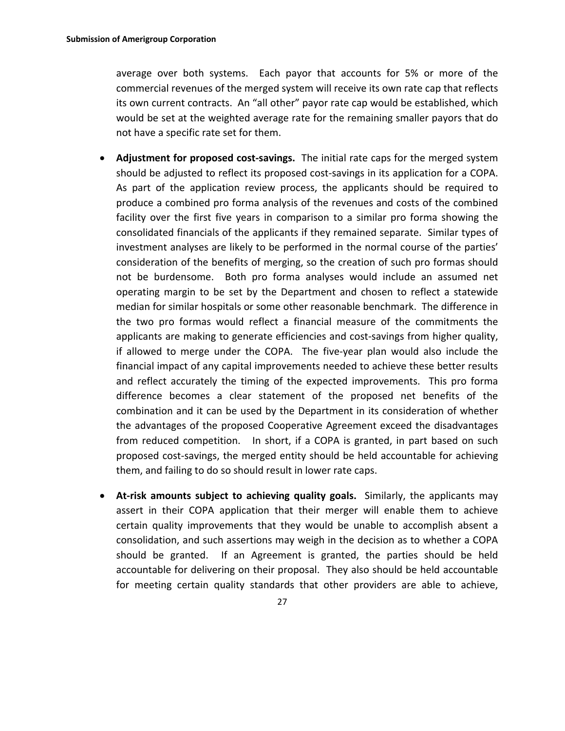average over both systems. Each payor that accounts for 5% or more of the commercial revenues of the merged system will receive its own rate cap that reflects its own current contracts. An "all other" payor rate cap would be established, which would be set at the weighted average rate for the remaining smaller payors that do not have a specific rate set for them.

- **Adjustment for proposed cost‐savings.** The initial rate caps for the merged system should be adjusted to reflect its proposed cost‐savings in its application for a COPA. As part of the application review process, the applicants should be required to produce a combined pro forma analysis of the revenues and costs of the combined facility over the first five years in comparison to a similar pro forma showing the consolidated financials of the applicants if they remained separate. Similar types of investment analyses are likely to be performed in the normal course of the parties' consideration of the benefits of merging, so the creation of such pro formas should not be burdensome. Both pro forma analyses would include an assumed net operating margin to be set by the Department and chosen to reflect a statewide median for similar hospitals or some other reasonable benchmark. The difference in the two pro formas would reflect a financial measure of the commitments the applicants are making to generate efficiencies and cost‐savings from higher quality, if allowed to merge under the COPA. The five‐year plan would also include the financial impact of any capital improvements needed to achieve these better results and reflect accurately the timing of the expected improvements. This pro forma difference becomes a clear statement of the proposed net benefits of the combination and it can be used by the Department in its consideration of whether the advantages of the proposed Cooperative Agreement exceed the disadvantages from reduced competition. In short, if a COPA is granted, in part based on such proposed cost‐savings, the merged entity should be held accountable for achieving them, and failing to do so should result in lower rate caps.
- **At‐risk amounts subject to achieving quality goals.**  Similarly, the applicants may assert in their COPA application that their merger will enable them to achieve certain quality improvements that they would be unable to accomplish absent a consolidation, and such assertions may weigh in the decision as to whether a COPA should be granted. If an Agreement is granted, the parties should be held accountable for delivering on their proposal. They also should be held accountable for meeting certain quality standards that other providers are able to achieve,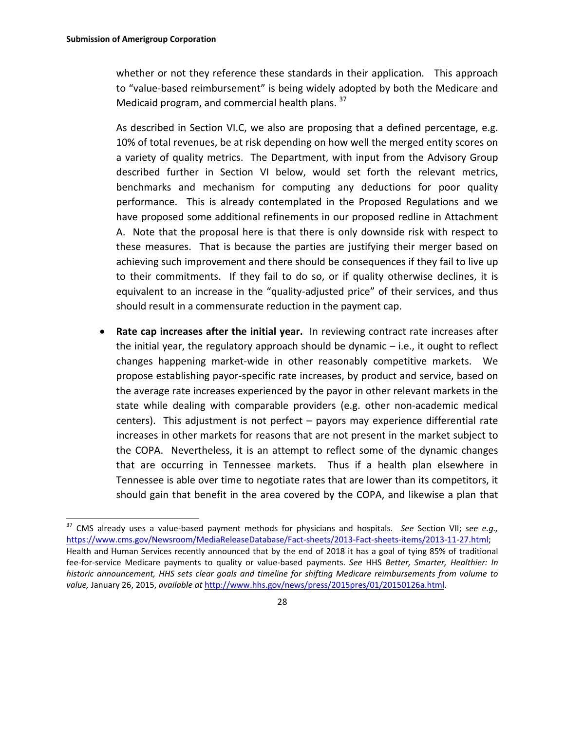whether or not they reference these standards in their application. This approach to "value‐based reimbursement" is being widely adopted by both the Medicare and Medicaid program, and commercial health plans. <sup>37</sup>

As described in Section VI.C, we also are proposing that a defined percentage, e.g. 10% of total revenues, be at risk depending on how well the merged entity scores on a variety of quality metrics. The Department, with input from the Advisory Group described further in Section VI below, would set forth the relevant metrics, benchmarks and mechanism for computing any deductions for poor quality performance. This is already contemplated in the Proposed Regulations and we have proposed some additional refinements in our proposed redline in Attachment A. Note that the proposal here is that there is only downside risk with respect to these measures. That is because the parties are justifying their merger based on achieving such improvement and there should be consequences if they fail to live up to their commitments. If they fail to do so, or if quality otherwise declines, it is equivalent to an increase in the "quality-adjusted price" of their services, and thus should result in a commensurate reduction in the payment cap.

 **Rate cap increases after the initial year.** In reviewing contract rate increases after the initial year, the regulatory approach should be dynamic – i.e., it ought to reflect changes happening market‐wide in other reasonably competitive markets. We propose establishing payor‐specific rate increases, by product and service, based on the average rate increases experienced by the payor in other relevant markets in the state while dealing with comparable providers (e.g. other non‐academic medical centers). This adjustment is not perfect – payors may experience differential rate increases in other markets for reasons that are not present in the market subject to the COPA. Nevertheless, it is an attempt to reflect some of the dynamic changes that are occurring in Tennessee markets. Thus if a health plan elsewhere in Tennessee is able over time to negotiate rates that are lower than its competitors, it should gain that benefit in the area covered by the COPA, and likewise a plan that

<sup>37</sup> CMS already uses a value‐based payment methods for physicians and hospitals. *See* Section VII; *see e.g.,* https://www.cms.gov/Newsroom/MediaReleaseDatabase/Fact-sheets/2013-Fact-sheets-items/2013-11-27.html; Health and Human Services recently announced that by the end of 2018 it has a goal of tying 85% of traditional fee‐for‐service Medicare payments to quality or value‐based payments. *See* HHS *Better, Smarter, Healthier: In historic announcement, HHS sets clear goals and timeline for shifting Medicare reimbursements from volume to value,* January 26, 2015, *available at* http://www.hhs.gov/news/press/2015pres/01/20150126a.html.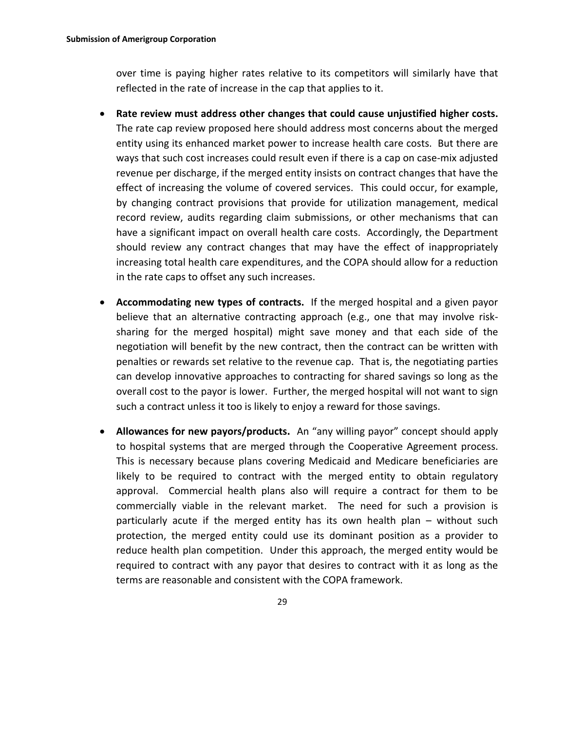over time is paying higher rates relative to its competitors will similarly have that reflected in the rate of increase in the cap that applies to it.

- **Rate review must address other changes that could cause unjustified higher costs.**  The rate cap review proposed here should address most concerns about the merged entity using its enhanced market power to increase health care costs. But there are ways that such cost increases could result even if there is a cap on case‐mix adjusted revenue per discharge, if the merged entity insists on contract changes that have the effect of increasing the volume of covered services. This could occur, for example, by changing contract provisions that provide for utilization management, medical record review, audits regarding claim submissions, or other mechanisms that can have a significant impact on overall health care costs. Accordingly, the Department should review any contract changes that may have the effect of inappropriately increasing total health care expenditures, and the COPA should allow for a reduction in the rate caps to offset any such increases.
- **Accommodating new types of contracts.** If the merged hospital and a given payor believe that an alternative contracting approach (e.g., one that may involve risksharing for the merged hospital) might save money and that each side of the negotiation will benefit by the new contract, then the contract can be written with penalties or rewards set relative to the revenue cap. That is, the negotiating parties can develop innovative approaches to contracting for shared savings so long as the overall cost to the payor is lower. Further, the merged hospital will not want to sign such a contract unless it too is likely to enjoy a reward for those savings.
- **Allowances for new payors/products.** An "any willing payor" concept should apply to hospital systems that are merged through the Cooperative Agreement process. This is necessary because plans covering Medicaid and Medicare beneficiaries are likely to be required to contract with the merged entity to obtain regulatory approval. Commercial health plans also will require a contract for them to be commercially viable in the relevant market. The need for such a provision is particularly acute if the merged entity has its own health plan – without such protection, the merged entity could use its dominant position as a provider to reduce health plan competition. Under this approach, the merged entity would be required to contract with any payor that desires to contract with it as long as the terms are reasonable and consistent with the COPA framework.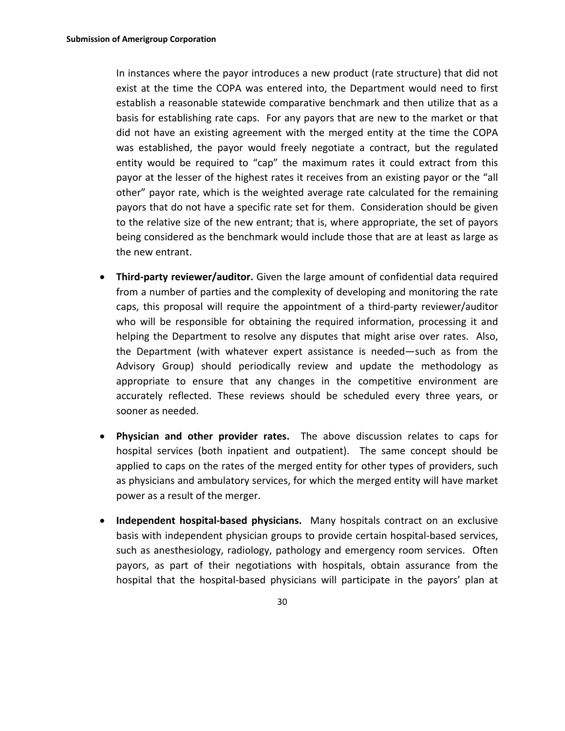In instances where the payor introduces a new product (rate structure) that did not exist at the time the COPA was entered into, the Department would need to first establish a reasonable statewide comparative benchmark and then utilize that as a basis for establishing rate caps. For any payors that are new to the market or that did not have an existing agreement with the merged entity at the time the COPA was established, the payor would freely negotiate a contract, but the regulated entity would be required to "cap" the maximum rates it could extract from this payor at the lesser of the highest rates it receives from an existing payor or the "all other" payor rate, which is the weighted average rate calculated for the remaining payors that do not have a specific rate set for them. Consideration should be given to the relative size of the new entrant; that is, where appropriate, the set of payors being considered as the benchmark would include those that are at least as large as the new entrant.

- **Third‐party reviewer/auditor.** Given the large amount of confidential data required from a number of parties and the complexity of developing and monitoring the rate caps, this proposal will require the appointment of a third‐party reviewer/auditor who will be responsible for obtaining the required information, processing it and helping the Department to resolve any disputes that might arise over rates. Also, the Department (with whatever expert assistance is needed—such as from the Advisory Group) should periodically review and update the methodology as appropriate to ensure that any changes in the competitive environment are accurately reflected. These reviews should be scheduled every three years, or sooner as needed.
- **Physician and other provider rates.**  The above discussion relates to caps for hospital services (both inpatient and outpatient). The same concept should be applied to caps on the rates of the merged entity for other types of providers, such as physicians and ambulatory services, for which the merged entity will have market power as a result of the merger.
- **Independent hospital‐based physicians.**  Many hospitals contract on an exclusive basis with independent physician groups to provide certain hospital‐based services, such as anesthesiology, radiology, pathology and emergency room services. Often payors, as part of their negotiations with hospitals, obtain assurance from the hospital that the hospital‐based physicians will participate in the payors' plan at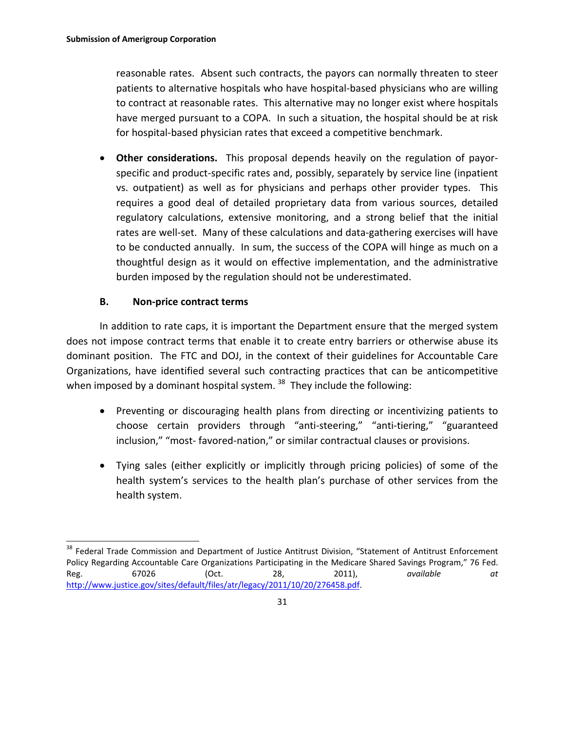reasonable rates. Absent such contracts, the payors can normally threaten to steer patients to alternative hospitals who have hospital‐based physicians who are willing to contract at reasonable rates. This alternative may no longer exist where hospitals have merged pursuant to a COPA. In such a situation, the hospital should be at risk for hospital‐based physician rates that exceed a competitive benchmark.

**• Other considerations.** This proposal depends heavily on the regulation of payorspecific and product‐specific rates and, possibly, separately by service line (inpatient vs. outpatient) as well as for physicians and perhaps other provider types. This requires a good deal of detailed proprietary data from various sources, detailed regulatory calculations, extensive monitoring, and a strong belief that the initial rates are well-set. Many of these calculations and data-gathering exercises will have to be conducted annually. In sum, the success of the COPA will hinge as much on a thoughtful design as it would on effective implementation, and the administrative burden imposed by the regulation should not be underestimated.

## **B. Non‐price contract terms**

In addition to rate caps, it is important the Department ensure that the merged system does not impose contract terms that enable it to create entry barriers or otherwise abuse its dominant position. The FTC and DOJ, in the context of their guidelines for Accountable Care Organizations, have identified several such contracting practices that can be anticompetitive when imposed by a dominant hospital system.  $38$  They include the following:

- Preventing or discouraging health plans from directing or incentivizing patients to choose certain providers through "anti‐steering," "anti‐tiering," "guaranteed inclusion," "most‐ favored‐nation," or similar contractual clauses or provisions.
- Tying sales (either explicitly or implicitly through pricing policies) of some of the health system's services to the health plan's purchase of other services from the health system.

 $\overline{a}$ <sup>38</sup> Federal Trade Commission and Department of Justice Antitrust Division, "Statement of Antitrust Enforcement Policy Regarding Accountable Care Organizations Participating in the Medicare Shared Savings Program," 76 Fed. Reg. 67026 (Oct. 28, 2011), *available at* http://www.justice.gov/sites/default/files/atr/legacy/2011/10/20/276458.pdf.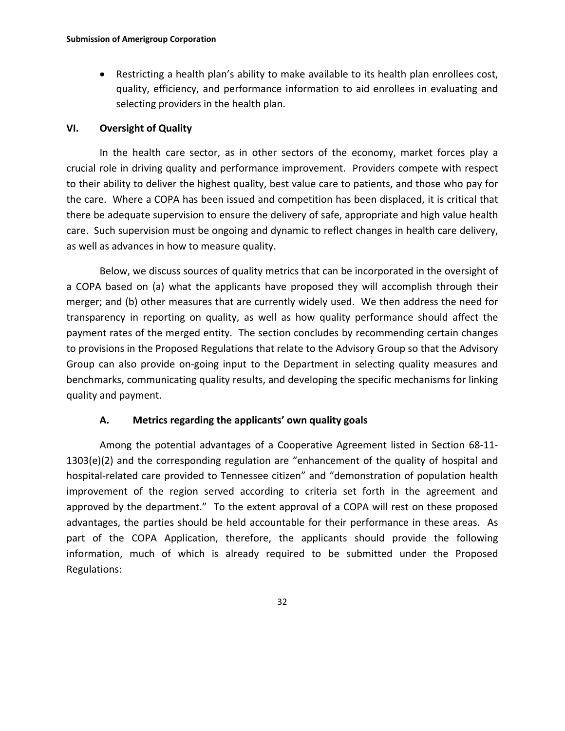Restricting a health plan's ability to make available to its health plan enrollees cost, quality, efficiency, and performance information to aid enrollees in evaluating and selecting providers in the health plan.

#### **VI. Oversight of Quality**

In the health care sector, as in other sectors of the economy, market forces play a crucial role in driving quality and performance improvement. Providers compete with respect to their ability to deliver the highest quality, best value care to patients, and those who pay for the care. Where a COPA has been issued and competition has been displaced, it is critical that there be adequate supervision to ensure the delivery of safe, appropriate and high value health care. Such supervision must be ongoing and dynamic to reflect changes in health care delivery, as well as advances in how to measure quality.

Below, we discuss sources of quality metrics that can be incorporated in the oversight of a COPA based on (a) what the applicants have proposed they will accomplish through their merger; and (b) other measures that are currently widely used. We then address the need for transparency in reporting on quality, as well as how quality performance should affect the payment rates of the merged entity. The section concludes by recommending certain changes to provisions in the Proposed Regulations that relate to the Advisory Group so that the Advisory Group can also provide on‐going input to the Department in selecting quality measures and benchmarks, communicating quality results, and developing the specific mechanisms for linking quality and payment.

## **A. Metrics regarding the applicants' own quality goals**

Among the potential advantages of a Cooperative Agreement listed in Section 68‐11‐ 1303(e)(2) and the corresponding regulation are "enhancement of the quality of hospital and hospital-related care provided to Tennessee citizen" and "demonstration of population health improvement of the region served according to criteria set forth in the agreement and approved by the department." To the extent approval of a COPA will rest on these proposed advantages, the parties should be held accountable for their performance in these areas. As part of the COPA Application, therefore, the applicants should provide the following information, much of which is already required to be submitted under the Proposed Regulations: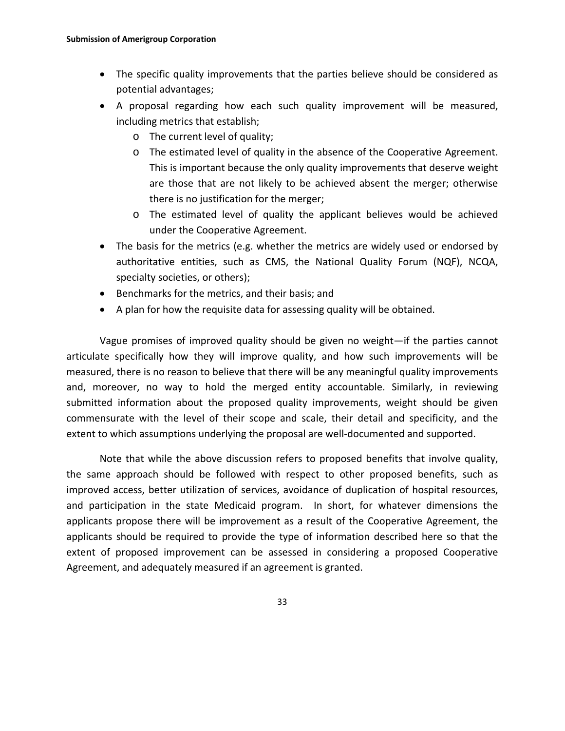- The specific quality improvements that the parties believe should be considered as potential advantages;
- A proposal regarding how each such quality improvement will be measured, including metrics that establish;
	- o The current level of quality;
	- o The estimated level of quality in the absence of the Cooperative Agreement. This is important because the only quality improvements that deserve weight are those that are not likely to be achieved absent the merger; otherwise there is no justification for the merger;
	- o The estimated level of quality the applicant believes would be achieved under the Cooperative Agreement.
- The basis for the metrics (e.g. whether the metrics are widely used or endorsed by authoritative entities, such as CMS, the National Quality Forum (NQF), NCQA, specialty societies, or others);
- Benchmarks for the metrics, and their basis; and
- A plan for how the requisite data for assessing quality will be obtained.

Vague promises of improved quality should be given no weight—if the parties cannot articulate specifically how they will improve quality, and how such improvements will be measured, there is no reason to believe that there will be any meaningful quality improvements and, moreover, no way to hold the merged entity accountable. Similarly, in reviewing submitted information about the proposed quality improvements, weight should be given commensurate with the level of their scope and scale, their detail and specificity, and the extent to which assumptions underlying the proposal are well-documented and supported.

Note that while the above discussion refers to proposed benefits that involve quality, the same approach should be followed with respect to other proposed benefits, such as improved access, better utilization of services, avoidance of duplication of hospital resources, and participation in the state Medicaid program. In short, for whatever dimensions the applicants propose there will be improvement as a result of the Cooperative Agreement, the applicants should be required to provide the type of information described here so that the extent of proposed improvement can be assessed in considering a proposed Cooperative Agreement, and adequately measured if an agreement is granted.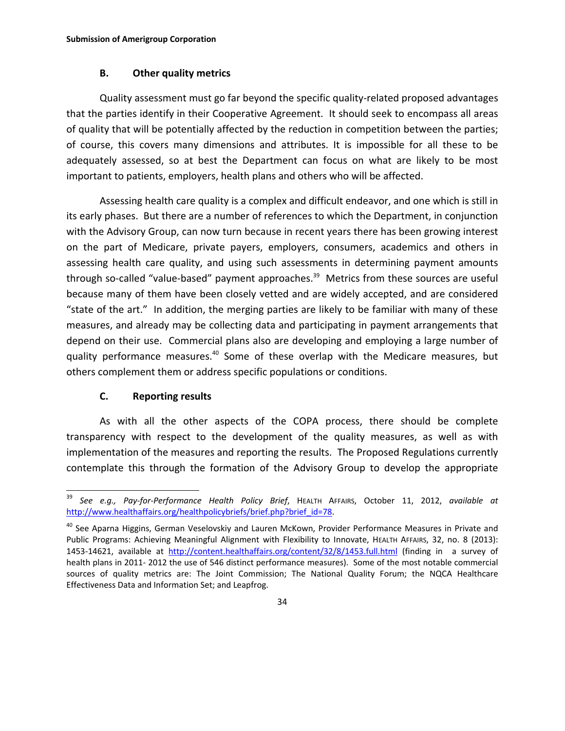#### **B. Other quality metrics**

Quality assessment must go far beyond the specific quality‐related proposed advantages that the parties identify in their Cooperative Agreement. It should seek to encompass all areas of quality that will be potentially affected by the reduction in competition between the parties; of course, this covers many dimensions and attributes. It is impossible for all these to be adequately assessed, so at best the Department can focus on what are likely to be most important to patients, employers, health plans and others who will be affected.

Assessing health care quality is a complex and difficult endeavor, and one which is still in its early phases. But there are a number of references to which the Department, in conjunction with the Advisory Group, can now turn because in recent years there has been growing interest on the part of Medicare, private payers, employers, consumers, academics and others in assessing health care quality, and using such assessments in determining payment amounts through so-called "value-based" payment approaches.<sup>39</sup> Metrics from these sources are useful because many of them have been closely vetted and are widely accepted, and are considered "state of the art." In addition, the merging parties are likely to be familiar with many of these measures, and already may be collecting data and participating in payment arrangements that depend on their use. Commercial plans also are developing and employing a large number of quality performance measures.<sup>40</sup> Some of these overlap with the Medicare measures, but others complement them or address specific populations or conditions.

## **C. Reporting results**

 $\overline{a}$ 

As with all the other aspects of the COPA process, there should be complete transparency with respect to the development of the quality measures, as well as with implementation of the measures and reporting the results. The Proposed Regulations currently contemplate this through the formation of the Advisory Group to develop the appropriate

<sup>39</sup> *See e.g., Pay‐for‐Performance Health Policy Brief*, HEALTH AFFAIRS, October 11, 2012, *available at* http://www.healthaffairs.org/healthpolicybriefs/brief.php?brief\_id=78.

<sup>&</sup>lt;sup>40</sup> See Aparna Higgins, German Veselovskiy and Lauren McKown, Provider Performance Measures in Private and Public Programs: Achieving Meaningful Alignment with Flexibility to Innovate, HEALTH AFFAIRS, 32, no. 8 (2013): 1453‐14621, available at http://content.healthaffairs.org/content/32/8/1453.full.html (finding in a survey of health plans in 2011‐ 2012 the use of 546 distinct performance measures). Some of the most notable commercial sources of quality metrics are: The Joint Commission; The National Quality Forum; the NQCA Healthcare Effectiveness Data and Information Set; and Leapfrog.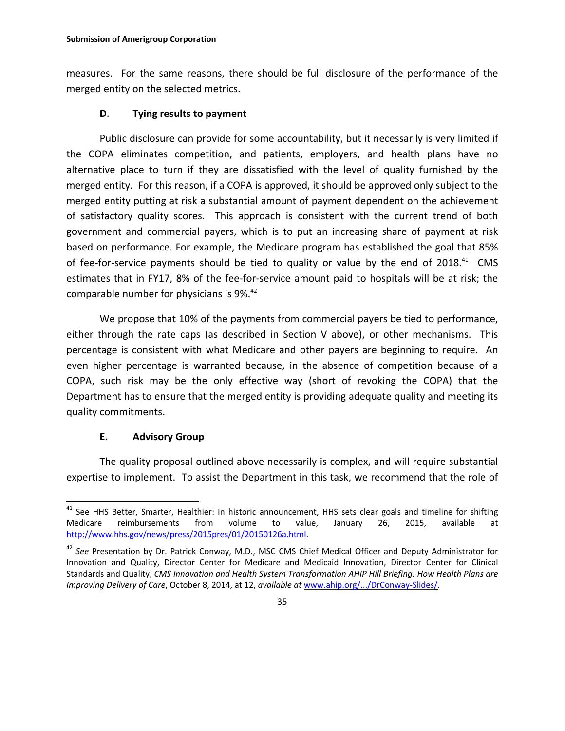measures. For the same reasons, there should be full disclosure of the performance of the merged entity on the selected metrics.

#### **D**. **Tying results to payment**

Public disclosure can provide for some accountability, but it necessarily is very limited if the COPA eliminates competition, and patients, employers, and health plans have no alternative place to turn if they are dissatisfied with the level of quality furnished by the merged entity. For this reason, if a COPA is approved, it should be approved only subject to the merged entity putting at risk a substantial amount of payment dependent on the achievement of satisfactory quality scores. This approach is consistent with the current trend of both government and commercial payers, which is to put an increasing share of payment at risk based on performance. For example, the Medicare program has established the goal that 85% of fee-for-service payments should be tied to quality or value by the end of 2018.<sup>41</sup> CMS estimates that in FY17, 8% of the fee-for-service amount paid to hospitals will be at risk; the comparable number for physicians is 9%.<sup>42</sup>

We propose that 10% of the payments from commercial payers be tied to performance, either through the rate caps (as described in Section V above), or other mechanisms. This percentage is consistent with what Medicare and other payers are beginning to require. An even higher percentage is warranted because, in the absence of competition because of a COPA, such risk may be the only effective way (short of revoking the COPA) that the Department has to ensure that the merged entity is providing adequate quality and meeting its quality commitments.

## **E. Advisory Group**

 $\overline{a}$ 

The quality proposal outlined above necessarily is complex, and will require substantial expertise to implement. To assist the Department in this task, we recommend that the role of

<sup>&</sup>lt;sup>41</sup> See HHS Better, Smarter, Healthier: In historic announcement, HHS sets clear goals and timeline for shifting Medicare reimbursements from volume to value, January 26, 2015, available at http://www.hhs.gov/news/press/2015pres/01/20150126a.html.

<sup>42</sup> *See* Presentation by Dr. Patrick Conway, M.D., MSC CMS Chief Medical Officer and Deputy Administrator for Innovation and Quality, Director Center for Medicare and Medicaid Innovation, Director Center for Clinical Standards and Quality, *CMS Innovation and Health System Transformation AHIP Hill Briefing: How Health Plans are Improving Delivery of Care*, October 8, 2014, at 12, *available at* www.ahip.org/.../DrConway‐Slides/.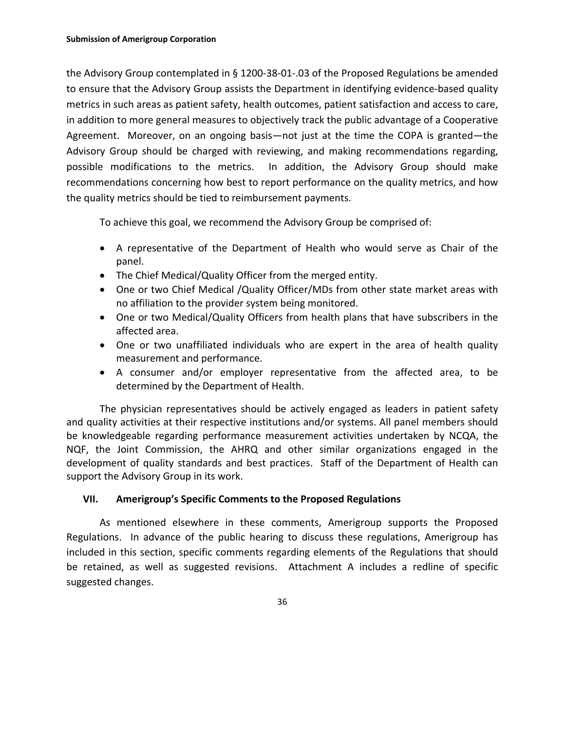the Advisory Group contemplated in § 1200‐38‐01‐.03 of the Proposed Regulations be amended to ensure that the Advisory Group assists the Department in identifying evidence-based quality metrics in such areas as patient safety, health outcomes, patient satisfaction and access to care, in addition to more general measures to objectively track the public advantage of a Cooperative Agreement. Moreover, on an ongoing basis—not just at the time the COPA is granted—the Advisory Group should be charged with reviewing, and making recommendations regarding, possible modifications to the metrics. In addition, the Advisory Group should make recommendations concerning how best to report performance on the quality metrics, and how the quality metrics should be tied to reimbursement payments.

To achieve this goal, we recommend the Advisory Group be comprised of:

- A representative of the Department of Health who would serve as Chair of the panel.
- The Chief Medical/Quality Officer from the merged entity.
- One or two Chief Medical /Quality Officer/MDs from other state market areas with no affiliation to the provider system being monitored.
- One or two Medical/Quality Officers from health plans that have subscribers in the affected area.
- One or two unaffiliated individuals who are expert in the area of health quality measurement and performance.
- A consumer and/or employer representative from the affected area, to be determined by the Department of Health.

The physician representatives should be actively engaged as leaders in patient safety and quality activities at their respective institutions and/or systems. All panel members should be knowledgeable regarding performance measurement activities undertaken by NCQA, the NQF, the Joint Commission, the AHRQ and other similar organizations engaged in the development of quality standards and best practices. Staff of the Department of Health can support the Advisory Group in its work.

## **VII. Amerigroup's Specific Comments to the Proposed Regulations**

As mentioned elsewhere in these comments, Amerigroup supports the Proposed Regulations. In advance of the public hearing to discuss these regulations, Amerigroup has included in this section, specific comments regarding elements of the Regulations that should be retained, as well as suggested revisions. Attachment A includes a redline of specific suggested changes.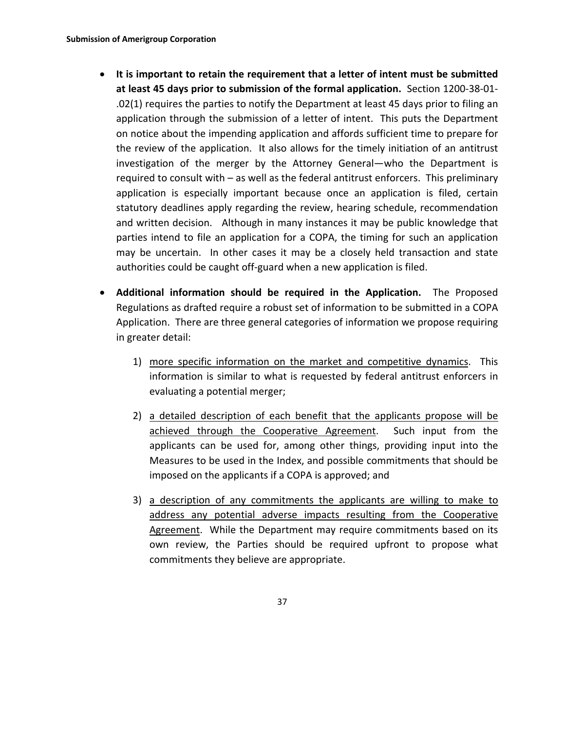- **It is important to retain the requirement that a letter of intent must be submitted at least 45 days prior to submission of the formal application.** Section 1200‐38‐01‐ .02(1) requires the parties to notify the Department at least 45 days prior to filing an application through the submission of a letter of intent. This puts the Department on notice about the impending application and affords sufficient time to prepare for the review of the application. It also allows for the timely initiation of an antitrust investigation of the merger by the Attorney General—who the Department is required to consult with – as well as the federal antitrust enforcers. This preliminary application is especially important because once an application is filed, certain statutory deadlines apply regarding the review, hearing schedule, recommendation and written decision. Although in many instances it may be public knowledge that parties intend to file an application for a COPA, the timing for such an application may be uncertain. In other cases it may be a closely held transaction and state authorities could be caught off‐guard when a new application is filed.
- **Additional information should be required in the Application.**  The Proposed Regulations as drafted require a robust set of information to be submitted in a COPA Application. There are three general categories of information we propose requiring in greater detail:
	- 1) more specific information on the market and competitive dynamics. This information is similar to what is requested by federal antitrust enforcers in evaluating a potential merger;
	- 2) a detailed description of each benefit that the applicants propose will be achieved through the Cooperative Agreement. Such input from the applicants can be used for, among other things, providing input into the Measures to be used in the Index, and possible commitments that should be imposed on the applicants if a COPA is approved; and
	- 3) a description of any commitments the applicants are willing to make to address any potential adverse impacts resulting from the Cooperative Agreement. While the Department may require commitments based on its own review, the Parties should be required upfront to propose what commitments they believe are appropriate.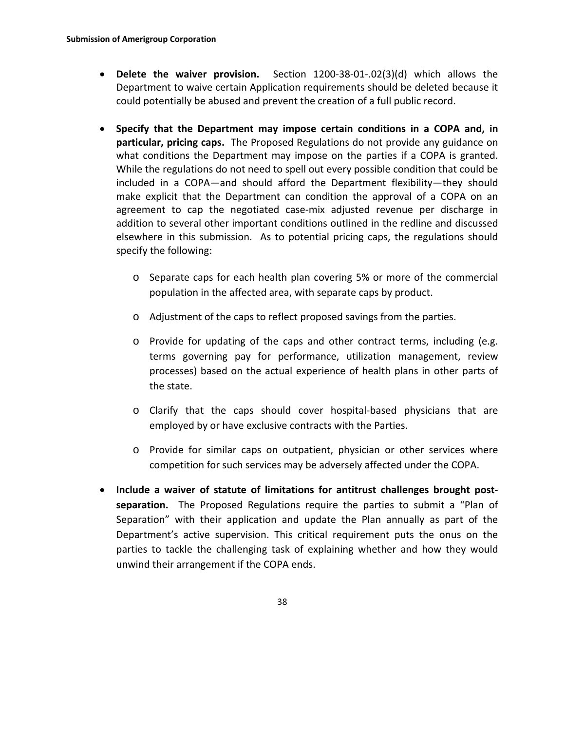- **Delete the waiver provision.** Section 1200‐38‐01‐.02(3)(d) which allows the Department to waive certain Application requirements should be deleted because it could potentially be abused and prevent the creation of a full public record.
- **Specify that the Department may impose certain conditions in a COPA and, in particular, pricing caps.** The Proposed Regulations do not provide any guidance on what conditions the Department may impose on the parties if a COPA is granted. While the regulations do not need to spell out every possible condition that could be included in a COPA—and should afford the Department flexibility—they should make explicit that the Department can condition the approval of a COPA on an agreement to cap the negotiated case‐mix adjusted revenue per discharge in addition to several other important conditions outlined in the redline and discussed elsewhere in this submission. As to potential pricing caps, the regulations should specify the following:
	- o Separate caps for each health plan covering 5% or more of the commercial population in the affected area, with separate caps by product.
	- o Adjustment of the caps to reflect proposed savings from the parties.
	- o Provide for updating of the caps and other contract terms, including (e.g. terms governing pay for performance, utilization management, review processes) based on the actual experience of health plans in other parts of the state.
	- o Clarify that the caps should cover hospital‐based physicians that are employed by or have exclusive contracts with the Parties.
	- o Provide for similar caps on outpatient, physician or other services where competition for such services may be adversely affected under the COPA.
- **Include a waiver of statute of limitations for antitrust challenges brought post‐ separation.** The Proposed Regulations require the parties to submit a "Plan of Separation" with their application and update the Plan annually as part of the Department's active supervision. This critical requirement puts the onus on the parties to tackle the challenging task of explaining whether and how they would unwind their arrangement if the COPA ends.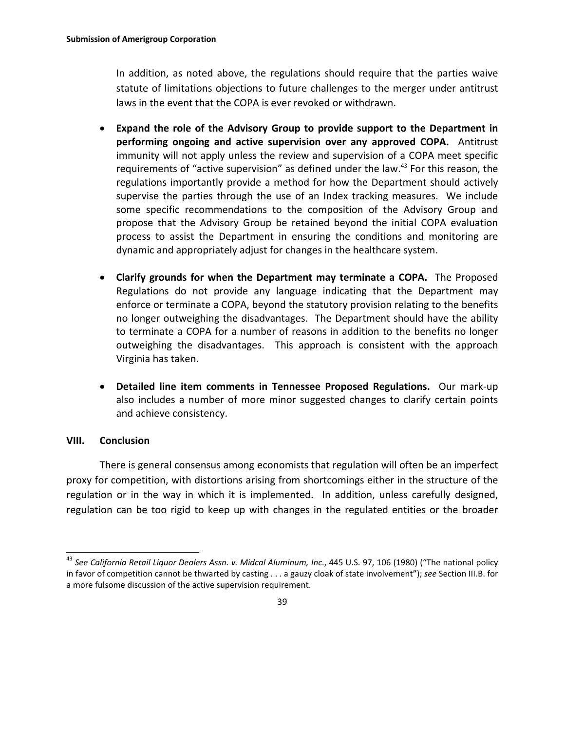In addition, as noted above, the regulations should require that the parties waive statute of limitations objections to future challenges to the merger under antitrust laws in the event that the COPA is ever revoked or withdrawn.

- **Expand the role of the Advisory Group to provide support to the Department in performing ongoing and active supervision over any approved COPA.**  Antitrust immunity will not apply unless the review and supervision of a COPA meet specific requirements of "active supervision" as defined under the law.<sup>43</sup> For this reason, the regulations importantly provide a method for how the Department should actively supervise the parties through the use of an Index tracking measures. We include some specific recommendations to the composition of the Advisory Group and propose that the Advisory Group be retained beyond the initial COPA evaluation process to assist the Department in ensuring the conditions and monitoring are dynamic and appropriately adjust for changes in the healthcare system.
- **Clarify grounds for when the Department may terminate a COPA.** The Proposed Regulations do not provide any language indicating that the Department may enforce or terminate a COPA, beyond the statutory provision relating to the benefits no longer outweighing the disadvantages. The Department should have the ability to terminate a COPA for a number of reasons in addition to the benefits no longer outweighing the disadvantages. This approach is consistent with the approach Virginia has taken.
- **Detailed line item comments in Tennessee Proposed Regulations.**  Our mark‐up also includes a number of more minor suggested changes to clarify certain points and achieve consistency.

#### **VIII. Conclusion**

 $\overline{a}$ 

There is general consensus among economists that regulation will often be an imperfect proxy for competition, with distortions arising from shortcomings either in the structure of the regulation or in the way in which it is implemented. In addition, unless carefully designed, regulation can be too rigid to keep up with changes in the regulated entities or the broader

<sup>43</sup> *See California Retail Liquor Dealers Assn. v. Midcal Aluminum, Inc*., 445 U.S. 97, 106 (1980) ("The national policy in favor of competition cannot be thwarted by casting . . . a gauzy cloak of state involvement"); *see* Section III.B. for a more fulsome discussion of the active supervision requirement.